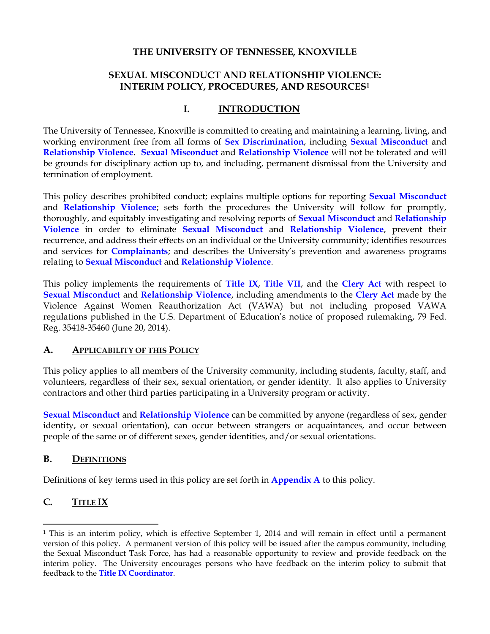#### **THE UNIVERSITY OF TENNESSEE, KNOXVILLE**

## **SEXUAL MISCONDUCT AND RELATIONSHIP VIOLENCE: INTERIM POLICY, PROCEDURES, AND RESOURCES<sup>1</sup>**

#### **I. INTRODUCTION**

The University of Tennessee, Knoxville is committed to creating and maintaining a learning, living, and working environment free from all forms of **Sex Discrimination**, including **Sexual Misconduct** and **Relationship Violence**. **Sexual Misconduct** and **Relationship Violence** will not be tolerated and will be grounds for disciplinary action up to, and including, permanent dismissal from the University and termination of employment.

This policy describes prohibited conduct; explains multiple options for reporting **Sexual Misconduct** and **Relationship Violence**; sets forth the procedures the University will follow for promptly, thoroughly, and equitably investigating and resolving reports of **Sexual Misconduct** and **Relationship Violence** in order to eliminate **Sexual Misconduct** and **Relationship Violence**, prevent their recurrence, and address their effects on an individual or the University community; identifies resources and services for **Complainants**; and describes the University's prevention and awareness programs relating to **Sexual Misconduct** and **Relationship Violence**.

This policy implements the requirements of **Title IX**, **Title VII**, and the **Clery Act** with respect to **Sexual Misconduct** and **Relationship Violence**, including amendments to the **Clery Act** made by the Violence Against Women Reauthorization Act (VAWA) but not including proposed VAWA regulations published in the U.S. Department of Education's notice of proposed rulemaking, 79 Fed. Reg. 35418-35460 (June 20, 2014).

#### **A. APPLICABILITY OF THIS POLICY**

This policy applies to all members of the University community, including students, faculty, staff, and volunteers, regardless of their sex, sexual orientation, or gender identity. It also applies to University contractors and other third parties participating in a University program or activity.

**Sexual Misconduct** and **Relationship Violence** can be committed by anyone (regardless of sex, gender identity, or sexual orientation), can occur between strangers or acquaintances, and occur between people of the same or of different sexes, gender identities, and/or sexual orientations.

#### **B. DEFINITIONS**

Definitions of key terms used in this policy are set forth in **Appendix A** to this policy.

## **C. TITLE IX**

 $\overline{\phantom{a}}$ 

<sup>1</sup> This is an interim policy, which is effective September 1, 2014 and will remain in effect until a permanent version of this policy. A permanent version of this policy will be issued after the campus community, including the Sexual Misconduct Task Force, has had a reasonable opportunity to review and provide feedback on the interim policy. The University encourages persons who have feedback on the interim policy to submit that feedback to the **Title IX Coordinator**.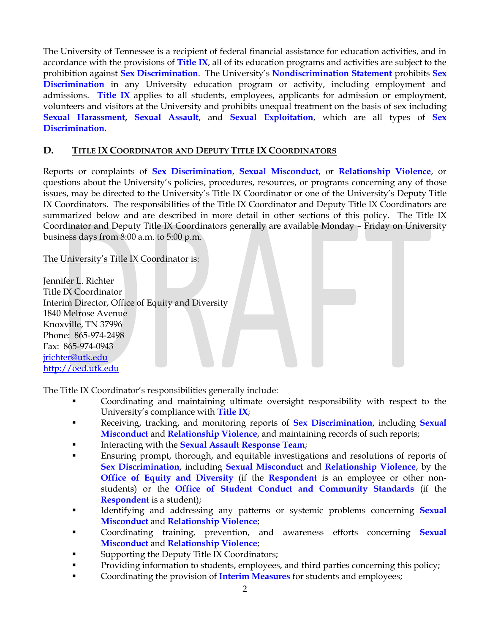The University of Tennessee is a recipient of federal financial assistance for education activities, and in accordance with the provisions of **Title IX**, all of its education programs and activities are subject to the prohibition against **Sex Discrimination**. The University's **[Nondiscrimination Statement](http://oed.utk.edu/statement/)** prohibits **Sex Discrimination** in any University education program or activity, including employment and admissions. **Title IX** applies to all students, employees, applicants for admission or employment, volunteers and visitors at the University and prohibits unequal treatment on the basis of sex including **Sexual Harassment, Sexual Assault**, and **Sexual Exploitation**, which are all types of **Sex Discrimination**.

#### **D. TITLE IX COORDINATOR AND DEPUTY TITLE IX COORDINATORS**

Reports or complaints of **Sex Discrimination**, **Sexual Misconduct**, or **Relationship Violence**, or questions about the University's policies, procedures, resources, or programs concerning any of those issues, may be directed to the University's Title IX Coordinator or one of the University's Deputy Title IX Coordinators. The responsibilities of the Title IX Coordinator and Deputy Title IX Coordinators are summarized below and are described in more detail in other sections of this policy. The Title IX Coordinator and Deputy Title IX Coordinators generally are available Monday – Friday on University business days from 8:00 a.m. to 5:00 p.m.

#### The University's Title IX Coordinator is:

Jennifer L. Richter Title IX Coordinator Interim Director, Office of Equity and Diversity 1840 Melrose Avenue Knoxville, TN 37996 Phone: 865-974-2498 Fax: 865-974-0943 [jrichter@utk.edu](mailto:jrichter@utk.edu) http://oed.utk.edu

The Title IX Coordinator's responsibilities generally include:

- Coordinating and maintaining ultimate oversight responsibility with respect to the University's compliance with **Title IX**;
- Receiving, tracking, and monitoring reports of **Sex Discrimination**, including **Sexual Misconduct** and **Relationship Violence**, and maintaining records of such reports;
- Interacting with the **Sexual Assault Response Team**;
- Ensuring prompt, thorough, and equitable investigations and resolutions of reports of **Sex Discrimination**, including **Sexual Misconduct** and **Relationship Violence**, by the **Office of Equity and Diversity** (if the **Respondent** is an employee or other nonstudents) or the **Office of Student Conduct and Community Standards** (if the **Respondent** is a student);
- Identifying and addressing any patterns or systemic problems concerning **Sexual Misconduct** and **Relationship Violence**;
- Coordinating training, prevention, and awareness efforts concerning **Sexual Misconduct** and **Relationship Violence**;
- Supporting the Deputy Title IX Coordinators;
- Providing information to students, employees, and third parties concerning this policy;
- Coordinating the provision of **Interim Measures** for students and employees;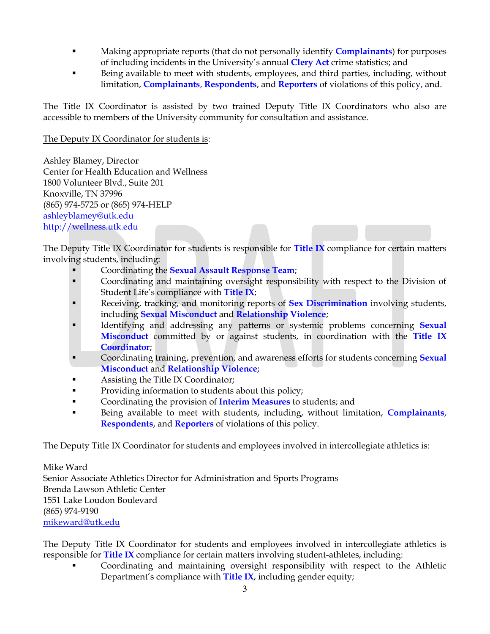- Making appropriate reports (that do not personally identify **Complainants**) for purposes of including incidents in the University's annual **Clery Act** crime statistics; and
- Being available to meet with students, employees, and third parties, including, without limitation, **Complainants**, **Respondents**, and **Reporters** of violations of this policy, and.

The Title IX Coordinator is assisted by two trained Deputy Title IX Coordinators who also are accessible to members of the University community for consultation and assistance.

#### The Deputy IX Coordinator for students is:

Ashley Blamey, Director Center for Health Education and Wellness 1800 Volunteer Blvd., Suite 201 Knoxville, TN 37996 (865) 974-5725 or (865) 974-HELP [ashleyblamey@utk.edu](mailto:ashleyblamey@utk.edu) [http://wellness.utk.edu](http://wellness.utk.edu/)

The Deputy Title IX Coordinator for students is responsible for **Title IX** compliance for certain matters involving students, including:

- Coordinating the **Sexual Assault Response Team**;
- Coordinating and maintaining oversight responsibility with respect to the Division of Student Life's compliance with **Title IX**;
- **Receiving, tracking, and monitoring reports of Sex Discrimination involving students,** including **Sexual Misconduct** and **Relationship Violence**;
- Identifying and addressing any patterns or systemic problems concerning **Sexual Misconduct** committed by or against students, in coordination with the **Title IX Coordinator**;
- Coordinating training, prevention, and awareness efforts for students concerning **Sexual Misconduct** and **Relationship Violence**;
- Assisting the Title IX Coordinator;
- **Providing information to students about this policy;**
- Coordinating the provision of **Interim Measures** to students; and
- Being available to meet with students, including, without limitation, **Complainants**, **Respondents**, and **Reporters** of violations of this policy.

#### The Deputy Title IX Coordinator for students and employees involved in intercollegiate athletics is:

Mike Ward Senior Associate Athletics Director for Administration and Sports Programs Brenda Lawson Athletic Center 1551 Lake Loudon Boulevard (865) 974-9190 [mikeward@utk.edu](mailto:mikeward@utk.edu)

The Deputy Title IX Coordinator for students and employees involved in intercollegiate athletics is responsible for **Title IX** compliance for certain matters involving student-athletes, including:

 Coordinating and maintaining oversight responsibility with respect to the Athletic Department's compliance with **Title IX**, including gender equity;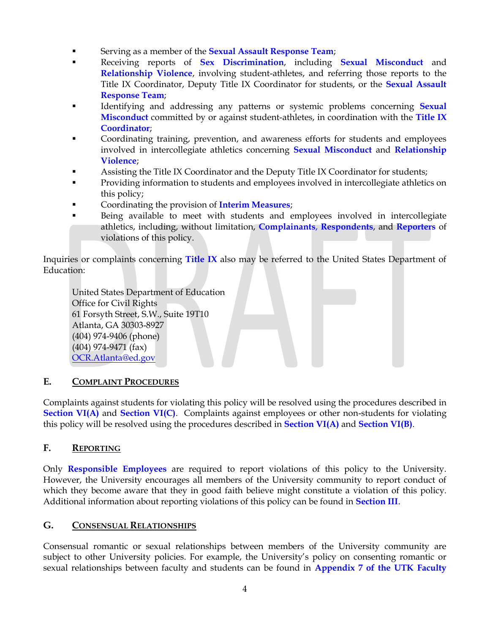- **EXECUTE:** Serving as a member of the **Sexual Assault Response Team**;
- Receiving reports of **Sex Discrimination**, including **Sexual Misconduct** and **Relationship Violence**, involving student-athletes, and referring those reports to the Title IX Coordinator, Deputy Title IX Coordinator for students, or the **Sexual Assault Response Team**;
- Identifying and addressing any patterns or systemic problems concerning **Sexual Misconduct** committed by or against student-athletes, in coordination with the **Title IX Coordinator**;
- **•** Coordinating training, prevention, and awareness efforts for students and employees involved in intercollegiate athletics concerning **Sexual Misconduct** and **Relationship Violence**;
- Assisting the Title IX Coordinator and the Deputy Title IX Coordinator for students;
- **Providing information to students and employees involved in intercollegiate athletics on** this policy;
- Coordinating the provision of **Interim Measures**;
- Being available to meet with students and employees involved in intercollegiate athletics, including, without limitation, **Complainants**, **Respondents**, and **Reporters** of violations of this policy.

Inquiries or complaints concerning **Title IX** also may be referred to the United States Department of Education:

United States Department of Education Office for Civil Rights 61 Forsyth Street, S.W., Suite 19T10 Atlanta, GA 30303-8927 (404) 974-9406 (phone) (404) 974-9471 (fax) [OCR.Atlanta@ed.gov](mailto:OCR.Atlanta@ed.gov)

#### **E. COMPLAINT PROCEDURES**

Complaints against students for violating this policy will be resolved using the procedures described in **Section VI(A) and Section VI(C)**. Complaints against employees or other non-students for violating this policy will be resolved using the procedures described in **Section VI(A)** and **Section VI(B)**.

#### **F. REPORTING**

Only **Responsible Employees** are required to report violations of this policy to the University. However, the University encourages all members of the University community to report conduct of which they become aware that they in good faith believe might constitute a violation of this policy. Additional information about reporting violations of this policy can be found in **Section III**.

#### **G. CONSENSUAL RELATIONSHIPS**

Consensual romantic or sexual relationships between members of the University community are subject to other University policies. For example, the University's policy on consenting romantic or sexual relationships between faculty and students can be found in **Appendix 7 of the UTK Faculty**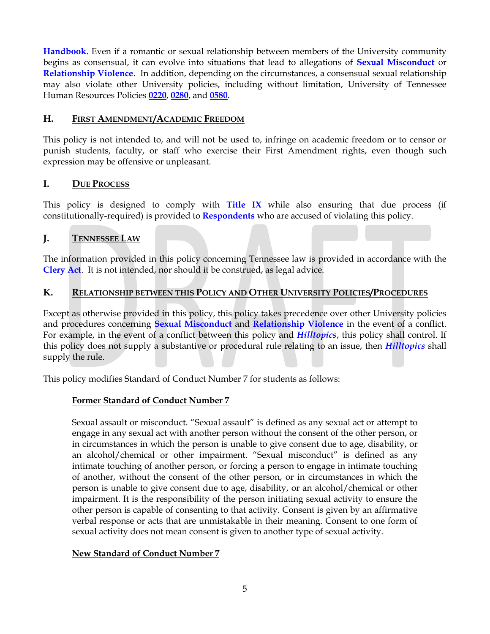**Handbook**. Even if a romantic or sexual relationship between members of the University community begins as consensual, it can evolve into situations that lead to allegations of **Sexual Misconduct** or **Relationship Violence**. In addition, depending on the circumstances, a consensual sexual relationship may also violate other University policies, including without limitation, University of Tennessee Human Resources Policies **[0220](http://policy.tennessee.edu/hr_policy/hr0220/)**, **[0280](http://policy.tennessee.edu/hr_policy/hr0280/)**, and **[0580](http://policy.tennessee.edu/hr_policy/hr0580/)**.

#### **H. FIRST AMENDMENT/ACADEMIC FREEDOM**

This policy is not intended to, and will not be used to, infringe on academic freedom or to censor or punish students, faculty, or staff who exercise their First Amendment rights, even though such expression may be offensive or unpleasant.

#### **I. DUE PROCESS**

This policy is designed to comply with **Title IX** while also ensuring that due process (if constitutionally-required) is provided to **Respondents** who are accused of violating this policy.

#### **J. TENNESSEE LAW**

The information provided in this policy concerning Tennessee law is provided in accordance with the **Clery Act**. It is not intended, nor should it be construed, as legal advice.

#### **K. RELATIONSHIP BETWEEN THIS POLICY AND OTHER UNIVERSITY POLICIES/PROCEDURES**

Except as otherwise provided in this policy, this policy takes precedence over other University policies and procedures concerning **Sexual Misconduct** and **Relationship Violence** in the event of a conflict. For example, in the event of a conflict between this policy and *Hilltopics*, this policy shall control. If this policy does not supply a substantive or procedural rule relating to an issue, then *Hilltopics* shall supply the rule.

This policy modifies Standard of Conduct Number 7 for students as follows:

#### **Former Standard of Conduct Number 7**

Sexual assault or misconduct. "Sexual assault" is defined as any sexual act or attempt to engage in any sexual act with another person without the consent of the other person, or in circumstances in which the person is unable to give consent due to age, disability, or an alcohol/chemical or other impairment. "Sexual misconduct" is defined as any intimate touching of another person, or forcing a person to engage in intimate touching of another, without the consent of the other person, or in circumstances in which the person is unable to give consent due to age, disability, or an alcohol/chemical or other impairment. It is the responsibility of the person initiating sexual activity to ensure the other person is capable of consenting to that activity. Consent is given by an affirmative verbal response or acts that are unmistakable in their meaning. Consent to one form of sexual activity does not mean consent is given to another type of sexual activity.

#### **New Standard of Conduct Number 7**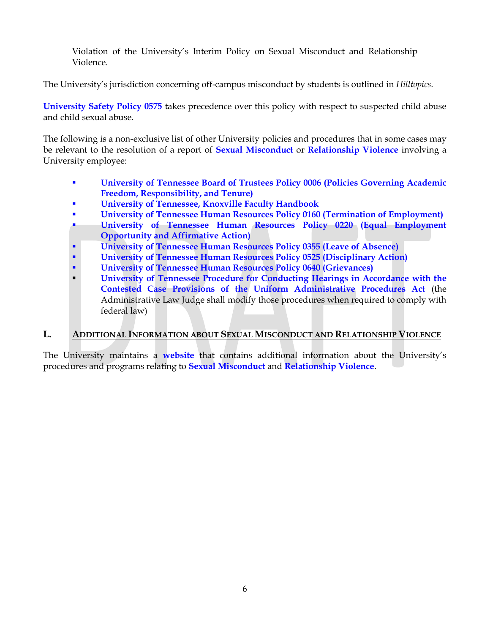Violation of the University's Interim Policy on Sexual Misconduct and Relationship Violence.

The University's jurisdiction concerning off-campus misconduct by students is outlined in *Hilltopics*.

**[University Safety Policy 0575](http://policy.tennessee.edu/safety_policy/sa0575/)** takes precedence over this policy with respect to suspected child abuse and child sexual abuse.

The following is a non-exclusive list of other University policies and procedures that in some cases may be relevant to the resolution of a report of **Sexual Misconduct** or **Relationship Violence** involving a University employee:

- **[University of Tennessee Board of Trustees Policy 0006 \(Policies Governing Academic](http://policy.tennessee.edu/bot_policy/bt0006/)  [Freedom, Responsibility, and Tenure\)](http://policy.tennessee.edu/bot_policy/bt0006/)**
- **[University of Tennessee, Knoxville Faculty Handbook](http://provost.utk.edu/faculty/manuals/faculty-handbook/)**
- **[University of Tennessee Human Resources Policy 0160 \(Termination of Employment\)](http://policy.tennessee.edu/hr_policy/hr0160/)**
- **[University of Tennessee Human Resources Policy 0220 \(Equal Employment](http://policy.tennessee.edu/hr_policy/hr0220/)  [Opportunity and Affirmative Action\)](http://policy.tennessee.edu/hr_policy/hr0220/)**
- **[University of Tennessee Human Resources Policy 0355 \(Leave of Absence\)](http://policy.tennessee.edu/hr_policy/hr0355/)**
- **[University of Tennessee Human Resources Policy 0525 \(Disciplinary Action\)](http://policy.tennessee.edu/hr_policy/hr0525/)**
- **[University of Tennessee Human Resources Policy 0640 \(Grievances\)](http://policy.tennessee.edu/hr_policy/hr0640/)**
- **[University of Tennessee Procedure for Conducting Hearings in Accordance](http://www.tn.gov/sos/rules/1720/1720-01/1720-01-05.pdf) with the [Contested Case Provisions of the Uniform Administrative Procedures Act](http://www.tn.gov/sos/rules/1720/1720-01/1720-01-05.pdf)** (the Administrative Law Judge shall modify those procedures when required to comply with federal law)

#### **L. ADDITIONAL INFORMATION ABOUT SEXUAL MISCONDUCT AND RELATIONSHIP VIOLENCE**

The University maintains a **website** that contains additional information about the University's procedures and programs relating to **Sexual Misconduct** and **Relationship Violence**.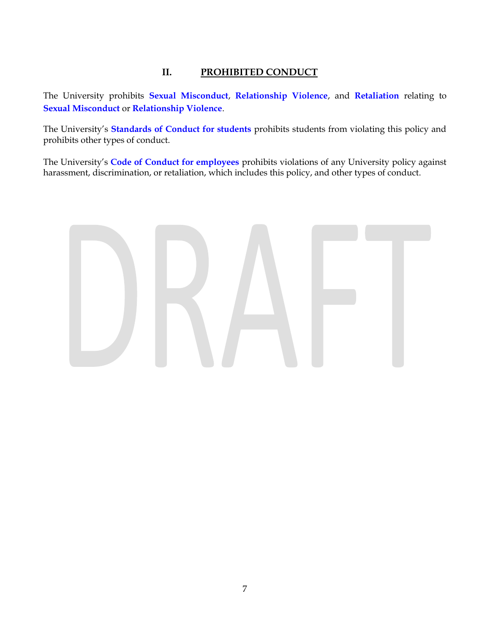## **II. PROHIBITED CONDUCT**

The University prohibits **Sexual Misconduct**, **Relationship Violence**, and **Retaliation** relating to **Sexual Misconduct** or **Relationship Violence**.

The University's **Standards of Conduct for students** prohibits students from violating this policy and prohibits other types of conduct.

The University's **[Code of Conduct for employees](http://policy.tennessee.edu/hr_policy/hr0580/)** prohibits violations of any University policy against harassment, discrimination, or retaliation, which includes this policy, and other types of conduct.

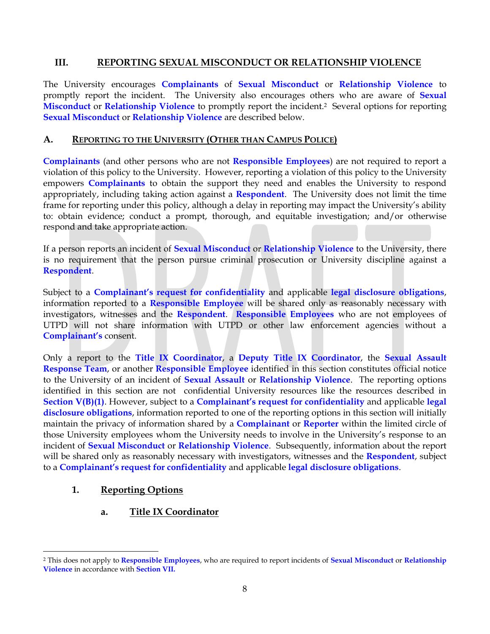#### **III. REPORTING SEXUAL MISCONDUCT OR RELATIONSHIP VIOLENCE**

The University encourages **Complainants** of **Sexual Misconduct** or **Relationship Violence** to promptly report the incident. The University also encourages others who are aware of **Sexual Misconduct** or **Relationship Violence** to promptly report the incident.2 Several options for reporting **Sexual Misconduct** or **Relationship Violence** are described below.

#### **A. REPORTING TO THE UNIVERSITY (OTHER THAN CAMPUS POLICE)**

**Complainants** (and other persons who are not **Responsible Employees**) are not required to report a violation of this policy to the University. However, reporting a violation of this policy to the University empowers **Complainants** to obtain the support they need and enables the University to respond appropriately, including taking action against a **Respondent**. The University does not limit the time frame for reporting under this policy, although a delay in reporting may impact the University's ability to: obtain evidence; conduct a prompt, thorough, and equitable investigation; and/or otherwise respond and take appropriate action.

If a person reports an incident of **Sexual Misconduct** or **Relationship Violence** to the University, there is no requirement that the person pursue criminal prosecution or University discipline against a **Respondent**.

Subject to a **Complainant's request for confidentiality** and applicable **legal disclosure obligations**, information reported to a **Responsible Employee** will be shared only as reasonably necessary with investigators, witnesses and the **Respondent**. **Responsible Employees** who are not employees of UTPD will not share information with UTPD or other law enforcement agencies without a **Complainant's** consent.

Only a report to the **Title IX Coordinator**, a **Deputy Title IX Coordinator**, the **Sexual Assault Response Team**, or another **Responsible Employee** identified in this section constitutes official notice to the University of an incident of **Sexual Assault** or **Relationship Violence**. The reporting options identified in this section are not confidential University resources like the resources described in **Section V(B)(1)**. However, subject to a **Complainant's request for confidentiality** and applicable **legal disclosure obligations**, information reported to one of the reporting options in this section will initially maintain the privacy of information shared by a **Complainant** or **Reporter** within the limited circle of those University employees whom the University needs to involve in the University's response to an incident of **Sexual Misconduct** or **Relationship Violence**. Subsequently, information about the report will be shared only as reasonably necessary with investigators, witnesses and the **Respondent**, subject to a **Complainant's request for confidentiality** and applicable **legal disclosure obligations**.

#### **1. Reporting Options**

#### **a. Title IX Coordinator**

 $\overline{\phantom{a}}$ <sup>2</sup> This does not apply to **Responsible Employees**, who are required to report incidents of **Sexual Misconduct** or **Relationship Violence** in accordance with **Section VII.**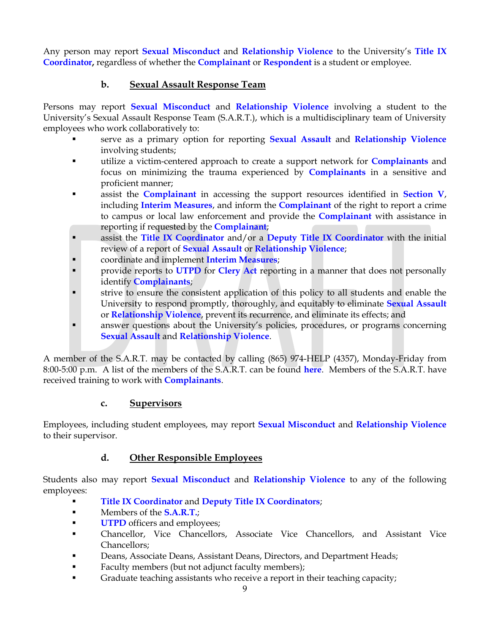Any person may report **Sexual Misconduct** and **Relationship Violence** to the University's **Title IX Coordinator,** regardless of whether the **Complainant** or **Respondent** is a student or employee.

## **b. Sexual Assault Response Team**

Persons may report **Sexual Misconduct** and **Relationship Violence** involving a student to the University's Sexual Assault Response Team (S.A.R.T.), which is a multidisciplinary team of University employees who work collaboratively to:

- serve as a primary option for reporting **Sexual Assault** and **Relationship Violence**  involving students;
- utilize a victim-centered approach to create a support network for **Complainants** and focus on minimizing the trauma experienced by **Complainants** in a sensitive and proficient manner;
- assist the **Complainant** in accessing the support resources identified in **Section V**, including **Interim Measures**, and inform the **Complainant** of the right to report a crime to campus or local law enforcement and provide the **Complainant** with assistance in reporting if requested by the **Complainant**;
- assist the **Title IX Coordinator** and/or a **Deputy Title IX Coordinator** with the initial review of a report of **Sexual Assault** or **Relationship Violence**;
- coordinate and implement **Interim Measures**;
- provide reports to **UTPD** for **Clery Act** reporting in a manner that does not personally identify **Complainants**;
- strive to ensure the consistent application of this policy to all students and enable the University to respond promptly, thoroughly, and equitably to eliminate **Sexual Assault** or **Relationship Violence**, prevent its recurrence, and eliminate its effects; and
- **In answer questions about the University's policies, procedures, or programs concerning Sexual Assault** and **Relationship Violence**.

A member of the S.A.R.T. may be contacted by calling (865) 974-HELP (4357), Monday-Friday from 8:00-5:00 p.m. A list of the members of the S.A.R.T. can be found **here**. Members of the S.A.R.T. have received training to work with **Complainants**.

#### **c. Supervisors**

Employees, including student employees, may report **Sexual Misconduct** and **Relationship Violence** to their supervisor.

## **d. Other Responsible Employees**

Students also may report **Sexual Misconduct** and **Relationship Violence** to any of the following employees:

- **Title IX Coordinator** and **Deputy Title IX Coordinators**;
- Members of the **S.A.R.T.**;
- **UTPD** officers and employees;
- Chancellor, Vice Chancellors, Associate Vice Chancellors, and Assistant Vice Chancellors;
- Deans, Associate Deans, Assistant Deans, Directors, and Department Heads;
- Faculty members (but not adjunct faculty members);
- Graduate teaching assistants who receive a report in their teaching capacity;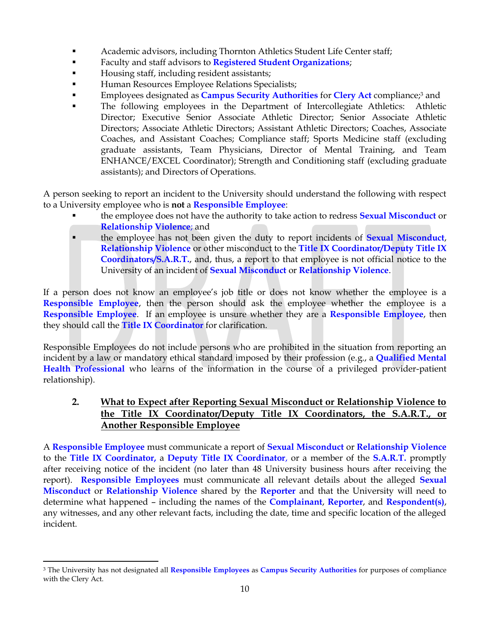- **Academic advisors, including Thornton Athletics Student Life Center staff;**
- Faculty and staff advisors to **Registered Student Organizations**;
- Housing staff, including resident assistants;
- **Human Resources Employee Relations Specialists;**
- **Employees designated as Campus Security Authorities for Clery Act compliance;<sup>3</sup> and**
- The following employees in the Department of Intercollegiate Athletics: Athletic Director; Executive Senior Associate Athletic Director; Senior Associate Athletic Directors; Associate Athletic Directors; Assistant Athletic Directors; Coaches, Associate Coaches, and Assistant Coaches; Compliance staff; Sports Medicine staff (excluding graduate assistants, Team Physicians, Director of Mental Training, and Team ENHANCE/EXCEL Coordinator); Strength and Conditioning staff (excluding graduate assistants); and Directors of Operations.

A person seeking to report an incident to the University should understand the following with respect to a University employee who is **not** a **Responsible Employee**:

- the employee does not have the authority to take action to redress **Sexual Misconduct** or **Relationship Violence**; and
- the employee has not been given the duty to report incidents of **Sexual Misconduct**, **Relationship Violence** or other misconduct to the **Title IX Coordinator/Deputy Title IX Coordinators/S.A.R.T.**, and, thus, a report to that employee is not official notice to the University of an incident of **Sexual Misconduct** or **Relationship Violence**.

If a person does not know an employee's job title or does not know whether the employee is a **Responsible Employee**, then the person should ask the employee whether the employee is a **Responsible Employee**. If an employee is unsure whether they are a **Responsible Employee**, then they should call the **Title IX Coordinator** for clarification.

Responsible Employees do not include persons who are prohibited in the situation from reporting an incident by a law or mandatory ethical standard imposed by their profession (e.g., a **Qualified Mental Health Professional** who learns of the information in the course of a privileged provider-patient relationship).

## **2. What to Expect after Reporting Sexual Misconduct or Relationship Violence to the Title IX Coordinator/Deputy Title IX Coordinators, the S.A.R.T., or Another Responsible Employee**

A **Responsible Employee** must communicate a report of **Sexual Misconduct** or **Relationship Violence** to the **Title IX Coordinator,** a **Deputy Title IX Coordinator**, or a member of the **S.A.R.T.** promptly after receiving notice of the incident (no later than 48 University business hours after receiving the report). **Responsible Employees** must communicate all relevant details about the alleged **Sexual Misconduct** or **Relationship Violence** shared by the **Reporter** and that the University will need to determine what happened – including the names of the **Complainant**, **Reporter**, and **Respondent(s)**, any witnesses, and any other relevant facts, including the date, time and specific location of the alleged incident.

 $\overline{\phantom{a}}$ <sup>3</sup> The University has not designated all **Responsible Employees** as **Campus Security Authorities** for purposes of compliance with the Clery Act.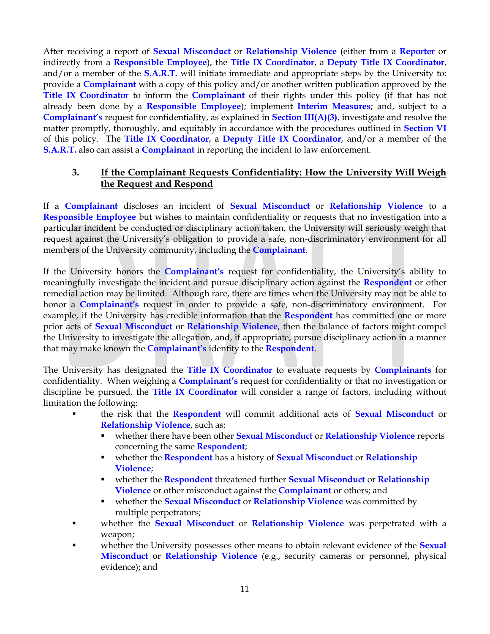After receiving a report of **Sexual Misconduct** or **Relationship Violence** (either from a **Reporter** or indirectly from a **Responsible Employee**), the **Title IX Coordinator**, a **Deputy Title IX Coordinator**, and/or a member of the **S.A.R.T.** will initiate immediate and appropriate steps by the University to: provide a **Complainant** with a copy of this policy and/or another written publication approved by the **Title IX Coordinator** to inform the **Complainant** of their rights under this policy (if that has not already been done by a **Responsible Employee**); implement **Interim Measures**; and, subject to a **Complainant's** request for confidentiality, as explained in **Section III(A)(3)**, investigate and resolve the matter promptly, thoroughly, and equitably in accordance with the procedures outlined in **Section VI**  of this policy. The **Title IX Coordinator**, a **Deputy Title IX Coordinator**, and/or a member of the **S.A.R.T.** also can assist a **Complainant** in reporting the incident to law enforcement.

## **3. If the Complainant Requests Confidentiality: How the University Will Weigh the Request and Respond**

If a **Complainant** discloses an incident of **Sexual Misconduct** or **Relationship Violence** to a **Responsible Employee** but wishes to maintain confidentiality or requests that no investigation into a particular incident be conducted or disciplinary action taken, the University will seriously weigh that request against the University's obligation to provide a safe, non-discriminatory environment for all members of the University community, including the **Complainant**.

If the University honors the **Complainant's** request for confidentiality, the University's ability to meaningfully investigate the incident and pursue disciplinary action against the **Respondent** or other remedial action may be limited. Although rare, there are times when the University may not be able to honor a **Complainant's** request in order to provide a safe, non-discriminatory environment. For example, if the University has credible information that the **Respondent** has committed one or more prior acts of **Sexual Misconduct** or **Relationship Violence**, then the balance of factors might compel the University to investigate the allegation, and, if appropriate, pursue disciplinary action in a manner that may make known the **Complainant's** identity to the **Respondent**.

The University has designated the **Title IX Coordinator** to evaluate requests by **Complainants** for confidentiality. When weighing a **Complainant's** request for confidentiality or that no investigation or discipline be pursued, the **Title IX Coordinator** will consider a range of factors, including without limitation the following:

- the risk that the **Respondent** will commit additional acts of **Sexual Misconduct** or **Relationship Violence**, such as:
	- whether there have been other **Sexual Misconduct** or **Relationship Violence** reports concerning the same **Respondent**;
	- whether the **Respondent** has a history of **Sexual Misconduct** or **Relationship Violence**;
	- whether the **Respondent** threatened further **Sexual Misconduct** or **Relationship Violence** or other misconduct against the **Complainant** or others; and
	- whether the **Sexual Misconduct** or **Relationship Violence** was committed by multiple perpetrators;
- whether the **Sexual Misconduct** or **Relationship Violence** was perpetrated with a weapon;
- whether the University possesses other means to obtain relevant evidence of the **Sexual Misconduct** or **Relationship Violence** (e.g., security cameras or personnel, physical evidence); and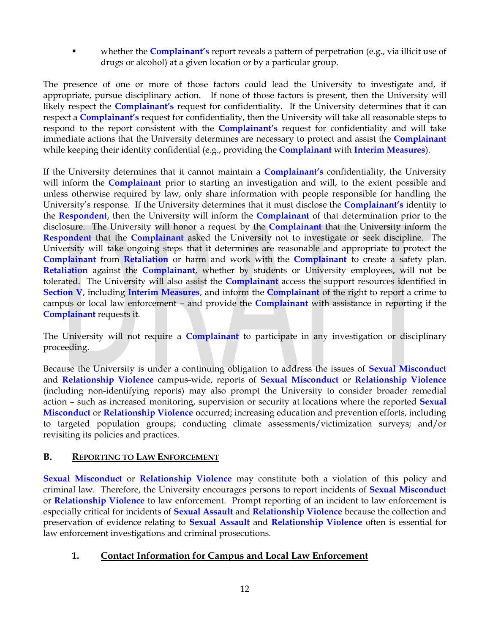whether the **Complainant's** report reveals a pattern of perpetration (e.g., via illicit use of drugs or alcohol) at a given location or by a particular group.

The presence of one or more of those factors could lead the University to investigate and, if appropriate, pursue disciplinary action. If none of those factors is present, then the University will likely respect the **Complainant's** request for confidentiality. If the University determines that it can respect a **Complainant's** request for confidentiality, then the University will take all reasonable steps to respond to the report consistent with the **Complainant's** request for confidentiality and will take immediate actions that the University determines are necessary to protect and assist the **Complainant** while keeping their identity confidential (e.g., providing the **Complainant** with **Interim Measures**).

If the University determines that it cannot maintain a **Complainant's** confidentiality, the University will inform the **Complainant** prior to starting an investigation and will, to the extent possible and unless otherwise required by law, only share information with people responsible for handling the University's response. If the University determines that it must disclose the **Complainant's** identity to the **Respondent**, then the University will inform the **Complainant** of that determination prior to the disclosure. The University will honor a request by the **Complainant** that the University inform the **Respondent** that the **Complainant** asked the University not to investigate or seek discipline. The University will take ongoing steps that it determines are reasonable and appropriate to protect the **Complainant** from **Retaliation** or harm and work with the **Complainant** to create a safety plan. **Retaliation** against the **Complainant**, whether by students or University employees, will not be tolerated. The University will also assist the **Complainant** access the support resources identified in **Section V**, including **Interim Measures**, and inform the **Complainant** of the right to report a crime to campus or local law enforcement – and provide the **Complainant** with assistance in reporting if the **Complainant** requests it.

The University will not require a **Complainant** to participate in any investigation or disciplinary proceeding.

Because the University is under a continuing obligation to address the issues of **Sexual Misconduct** and **Relationship Violence** campus-wide, reports of **Sexual Misconduct** or **Relationship Violence** (including non-identifying reports) may also prompt the University to consider broader remedial action – such as increased monitoring, supervision or security at locations where the reported **Sexual Misconduct** or **Relationship Violence** occurred; increasing education and prevention efforts, including to targeted population groups; conducting climate assessments/victimization surveys; and/or revisiting its policies and practices.

#### **B. REPORTING TO LAW ENFORCEMENT**

**Sexual Misconduct** or **Relationship Violence** may constitute both a violation of this policy and criminal law. Therefore, the University encourages persons to report incidents of **Sexual Misconduct** or **Relationship Violence** to law enforcement. Prompt reporting of an incident to law enforcement is especially critical for incidents of **Sexual Assault** and **Relationship Violence** because the collection and preservation of evidence relating to **Sexual Assault** and **Relationship Violence** often is essential for law enforcement investigations and criminal prosecutions.

#### **1. Contact Information for Campus and Local Law Enforcement**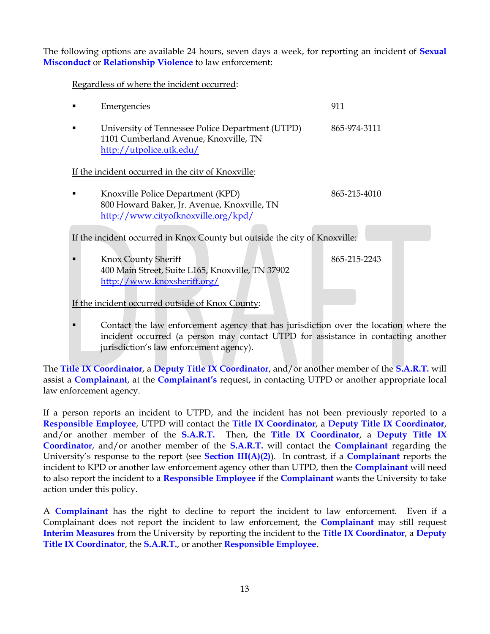The following options are available 24 hours, seven days a week, for reporting an incident of **Sexual Misconduct** or **Relationship Violence** to law enforcement:

Regardless of where the incident occurred:

|                                                                            | Emergencies                                                                                                             | 911          |  |  |
|----------------------------------------------------------------------------|-------------------------------------------------------------------------------------------------------------------------|--------------|--|--|
|                                                                            | University of Tennessee Police Department (UTPD)<br>1101 Cumberland Avenue, Knoxville, TN<br>http://utpolice.utk.edu/   | 865-974-3111 |  |  |
| If the incident occurred in the city of Knoxville:                         |                                                                                                                         |              |  |  |
|                                                                            | Knoxville Police Department (KPD)<br>800 Howard Baker, Jr. Avenue, Knoxville, TN<br>http://www.cityofknoxville.org/kpd/ | 865-215-4010 |  |  |
| If the incident occurred in Knox County but outside the city of Knoxville: |                                                                                                                         |              |  |  |
|                                                                            | Knox County Sheriff<br>400 Main Street, Suite L165, Knoxville, TN 37902<br>http://www.knoxsheriff.org/                  | 865-215-2243 |  |  |
| If the incident occurred outside of Knox County:                           |                                                                                                                         |              |  |  |

 Contact the law enforcement agency that has jurisdiction over the location where the incident occurred (a person may contact UTPD for assistance in contacting another jurisdiction's law enforcement agency).

The **Title IX Coordinator**, a **Deputy Title IX Coordinator**, and/or another member of the **S.A.R.T.** will assist a **Complainant**, at the **Complainant's** request, in contacting UTPD or another appropriate local law enforcement agency.

If a person reports an incident to UTPD, and the incident has not been previously reported to a **Responsible Employee**, UTPD will contact the **Title IX Coordinator**, a **Deputy Title IX Coordinator**, and/or another member of the **S.A.R.T.** Then, the **Title IX Coordinator**, a **Deputy Title IX Coordinator**, and/or another member of the **S.A.R.T.** will contact the **Complainant** regarding the University's response to the report (see **Section III(A)(2)**). In contrast, if a **Complainant** reports the incident to KPD or another law enforcement agency other than UTPD, then the **Complainant** will need to also report the incident to a **Responsible Employee** if the **Complainant** wants the University to take action under this policy.

A **Complainant** has the right to decline to report the incident to law enforcement. Even if a Complainant does not report the incident to law enforcement, the **Complainant** may still request **Interim Measures** from the University by reporting the incident to the **Title IX Coordinator**, a **Deputy Title IX Coordinator**, the **S.A.R.T.**, or another **Responsible Employee**.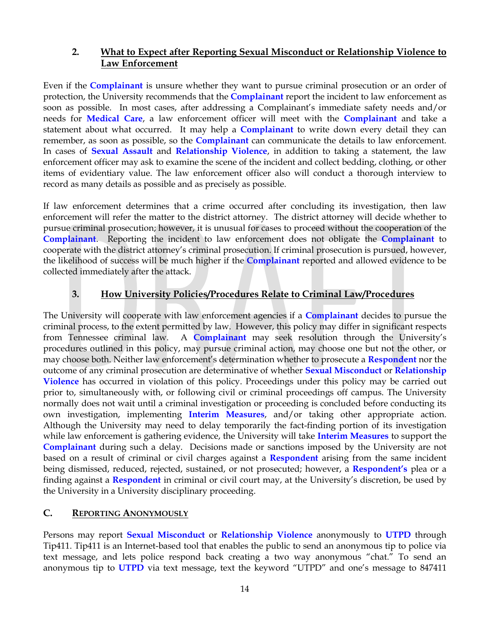#### **2. What to Expect after Reporting Sexual Misconduct or Relationship Violence to Law Enforcement**

Even if the **Complainant** is unsure whether they want to pursue criminal prosecution or an order of protection, the University recommends that the **Complainant** report the incident to law enforcement as soon as possible. In most cases, after addressing a Complainant's immediate safety needs and/or needs for **Medical Care**, a law enforcement officer will meet with the **Complainant** and take a statement about what occurred. It may help a **Complainant** to write down every detail they can remember, as soon as possible, so the **Complainant** can communicate the details to law enforcement. In cases of **Sexual Assault** and **Relationship Violence**, in addition to taking a statement, the law enforcement officer may ask to examine the scene of the incident and collect bedding, clothing, or other items of evidentiary value. The law enforcement officer also will conduct a thorough interview to record as many details as possible and as precisely as possible.

If law enforcement determines that a crime occurred after concluding its investigation, then law enforcement will refer the matter to the district attorney. The district attorney will decide whether to pursue criminal prosecution; however, it is unusual for cases to proceed without the cooperation of the **Complainant**. Reporting the incident to law enforcement does not obligate the **Complainant** to cooperate with the district attorney's criminal prosecution. If criminal prosecution is pursued, however, the likelihood of success will be much higher if the **Complainant** reported and allowed evidence to be collected immediately after the attack.

#### **3. How University Policies/Procedures Relate to Criminal Law/Procedures**

The University will cooperate with law enforcement agencies if a **Complainant** decides to pursue the criminal process, to the extent permitted by law. However, this policy may differ in significant respects from Tennessee criminal law. A **Complainant** may seek resolution through the University's procedures outlined in this policy, may pursue criminal action, may choose one but not the other, or may choose both. Neither law enforcement's determination whether to prosecute a **Respondent** nor the outcome of any criminal prosecution are determinative of whether **Sexual Misconduct** or **Relationship Violence** has occurred in violation of this policy. Proceedings under this policy may be carried out prior to, simultaneously with, or following civil or criminal proceedings off campus. The University normally does not wait until a criminal investigation or proceeding is concluded before conducting its own investigation, implementing **Interim Measures**, and/or taking other appropriate action. Although the University may need to delay temporarily the fact-finding portion of its investigation while law enforcement is gathering evidence, the University will take **Interim Measures** to support the **Complainant** during such a delay. Decisions made or sanctions imposed by the University are not based on a result of criminal or civil charges against a **Respondent** arising from the same incident being dismissed, reduced, rejected, sustained, or not prosecuted; however, a **Respondent's** plea or a finding against a **Respondent** in criminal or civil court may, at the University's discretion, be used by the University in a University disciplinary proceeding.

#### **C. REPORTING ANONYMOUSLY**

Persons may report **Sexual Misconduct** or **Relationship Violence** anonymously to **UTPD** through Tip411. Tip411 is an Internet-based tool that enables the public to send an anonymous tip to police via text message, and lets police respond back creating a two way anonymous "chat." To send an anonymous tip to **UTPD** via text message, text the keyword "UTPD" and one's message to 847411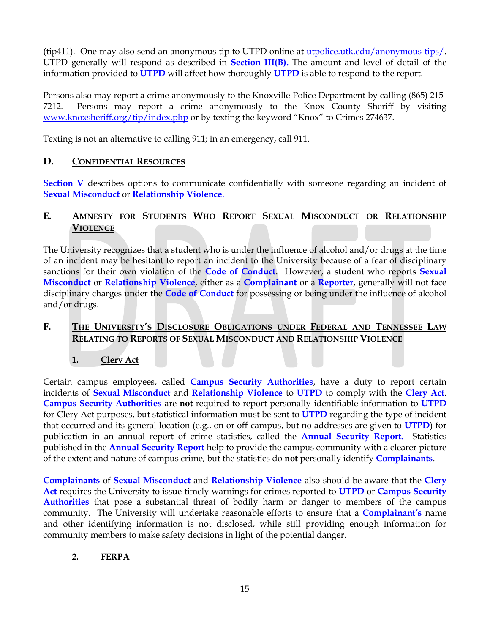(tip411). One may also send an anonymous tip to UTPD online at [utpolice.utk.edu/anonymous-tips/.](http://utpolice.utk.edu/anonymous-tips/) UTPD generally will respond as described in **Section III(B).** The amount and level of detail of the information provided to **UTPD** will affect how thoroughly **UTPD** is able to respond to the report.

Persons also may report a crime anonymously to the Knoxville Police Department by calling (865) 215- 7212. Persons may report a crime anonymously to the Knox County Sheriff by visiting www.knoxsheriff.org/tip/index.php or by texting the keyword "Knox" to Crimes 274637.

Texting is not an alternative to calling 911; in an emergency, call 911.

#### **D. CONFIDENTIAL RESOURCES**

**Section V** describes options to communicate confidentially with someone regarding an incident of **Sexual Misconduct** or **Relationship Violence**.

#### **E. AMNESTY FOR STUDENTS WHO REPORT SEXUAL MISCONDUCT OR RELATIONSHIP VIOLENCE**

The University recognizes that a student who is under the influence of alcohol and/or drugs at the time of an incident may be hesitant to report an incident to the University because of a fear of disciplinary sanctions for their own violation of the **Code of Conduct**. However, a student who reports **Sexual Misconduct** or **Relationship Violence**, either as a **Complainant** or a **Reporter**, generally will not face disciplinary charges under the **Code of Conduct** for possessing or being under the influence of alcohol and/or drugs.

#### **F. THE UNIVERSITY'S DISCLOSURE OBLIGATIONS UNDER FEDERAL AND TENNESSEE LAW RELATING TO REPORTS OF SEXUAL MISCONDUCT AND RELATIONSHIP VIOLENCE**

**1. Clery Act**

Certain campus employees, called **Campus Security Authorities**, have a duty to report certain incidents of **Sexual Misconduct** and **Relationship Violence** to **UTPD** to comply with the **Clery Act**. **Campus Security Authorities** are **not** required to report personally identifiable information to **UTPD** for Clery Act purposes, but statistical information must be sent to **UTPD** regarding the type of incident that occurred and its general location (e.g., on or off-campus, but no addresses are given to **UTPD**) for publication in an annual report of crime statistics, called the **Annual Security Report.** Statistics published in the **Annual Security Report** help to provide the campus community with a clearer picture of the extent and nature of campus crime, but the statistics do **not** personally identify **Complainants**.

**Complainants** of **Sexual Misconduct** and **Relationship Violence** also should be aware that the **Clery Act** requires the University to issue timely warnings for crimes reported to **UTPD** or **Campus Security Authorities** that pose a substantial threat of bodily harm or danger to members of the campus community. The University will undertake reasonable efforts to ensure that a **Complainant's** name and other identifying information is not disclosed, while still providing enough information for community members to make safety decisions in light of the potential danger.

#### **2. FERPA**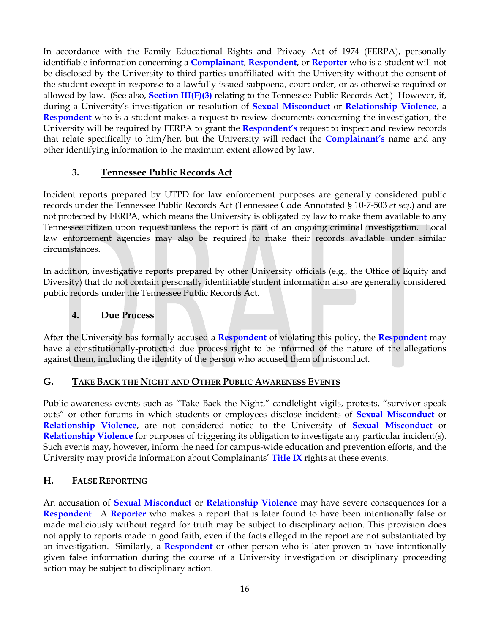In accordance with the Family Educational Rights and Privacy Act of 1974 (FERPA), personally identifiable information concerning a **Complainant**, **Respondent**, or **Reporter** who is a student will not be disclosed by the University to third parties unaffiliated with the University without the consent of the student except in response to a lawfully issued subpoena, court order, or as otherwise required or allowed by law. (See also, **Section III(F)(3)** relating to the Tennessee Public Records Act.) However, if, during a University's investigation or resolution of **Sexual Misconduct** or **Relationship Violence**, a **Respondent** who is a student makes a request to review documents concerning the investigation, the University will be required by FERPA to grant the **Respondent's** request to inspect and review records that relate specifically to him/her, but the University will redact the **Complainant's** name and any other identifying information to the maximum extent allowed by law.

## **3. Tennessee Public Records Act**

Incident reports prepared by UTPD for law enforcement purposes are generally considered public records under the Tennessee Public Records Act (Tennessee Code Annotated § 10-7-503 *et seq.*) and are not protected by FERPA, which means the University is obligated by law to make them available to any Tennessee citizen upon request unless the report is part of an ongoing criminal investigation. Local law enforcement agencies may also be required to make their records available under similar circumstances.

In addition, investigative reports prepared by other University officials (e.g., the Office of Equity and Diversity) that do not contain personally identifiable student information also are generally considered public records under the Tennessee Public Records Act.

## **4. Due Process**

After the University has formally accused a **Respondent** of violating this policy, the **Respondent** may have a constitutionally-protected due process right to be informed of the nature of the allegations against them, including the identity of the person who accused them of misconduct.

#### **G. TAKE BACK THE NIGHT AND OTHER PUBLIC AWARENESS EVENTS**

Public awareness events such as "Take Back the Night," candlelight vigils, protests, "survivor speak outs" or other forums in which students or employees disclose incidents of **Sexual Misconduct** or **Relationship Violence**, are not considered notice to the University of **Sexual Misconduct** or **Relationship Violence** for purposes of triggering its obligation to investigate any particular incident(s). Such events may, however, inform the need for campus-wide education and prevention efforts, and the University may provide information about Complainants' **Title IX** rights at these events.

#### **H. FALSE REPORTING**

An accusation of **Sexual Misconduct** or **Relationship Violence** may have severe consequences for a **Respondent**. A **Reporter** who makes a report that is later found to have been intentionally false or made maliciously without regard for truth may be subject to disciplinary action. This provision does not apply to reports made in good faith, even if the facts alleged in the report are not substantiated by an investigation. Similarly, a **Respondent** or other person who is later proven to have intentionally given false information during the course of a University investigation or disciplinary proceeding action may be subject to disciplinary action.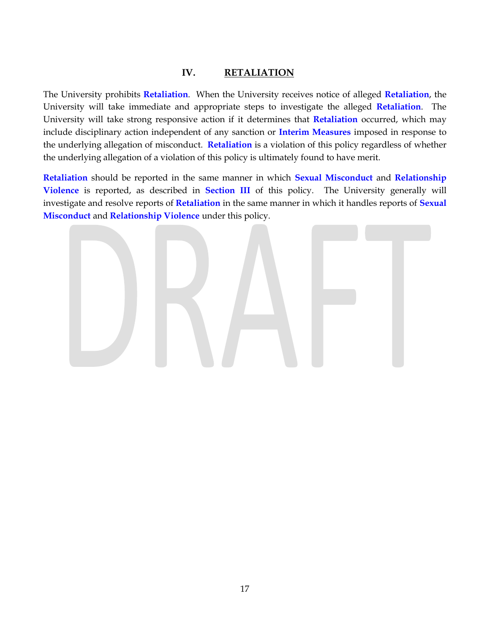#### **IV. RETALIATION**

The University prohibits **Retaliation**. When the University receives notice of alleged **Retaliation**, the University will take immediate and appropriate steps to investigate the alleged **Retaliation**. The University will take strong responsive action if it determines that **Retaliation** occurred, which may include disciplinary action independent of any sanction or **Interim Measures** imposed in response to the underlying allegation of misconduct. **Retaliation** is a violation of this policy regardless of whether the underlying allegation of a violation of this policy is ultimately found to have merit.

**Retaliation** should be reported in the same manner in which **Sexual Misconduct** and **Relationship Violence** is reported, as described in **Section III** of this policy. The University generally will investigate and resolve reports of **Retaliation** in the same manner in which it handles reports of **Sexual Misconduct** and **Relationship Violence** under this policy.

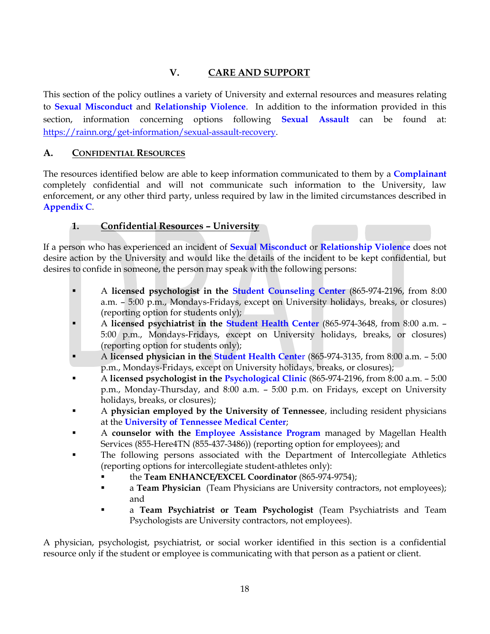# **V. CARE AND SUPPORT**

This section of the policy outlines a variety of University and external resources and measures relating to **Sexual Misconduct** and **Relationship Violence**. In addition to the information provided in this section, information concerning options following **Sexual Assault** can be found at: [https://rainn.org/get-information/sexual-assault-recovery.](https://rainn.org/get-information/sexual-assault-recovery)

## **A. CONFIDENTIAL RESOURCES**

The resources identified below are able to keep information communicated to them by a **Complainant** completely confidential and will not communicate such information to the University, law enforcement, or any other third party, unless required by law in the limited circumstances described in **Appendix C**.

## **1. Confidential Resources – University**

If a person who has experienced an incident of **Sexual Misconduct** or **Relationship Violence** does not desire action by the University and would like the details of the incident to be kept confidential, but desires to confide in someone, the person may speak with the following persons:

- A **licensed psychologist in the [Student Counseling Center](http://counselingcenter.utk.edu/)** (865-974-2196, from 8:00 a.m. – 5:00 p.m., Mondays-Fridays, except on University holidays, breaks, or closures) (reporting option for students only);
- A **licensed psychiatrist in the [Student Health Center](http://studenthealth.utk.edu/)** (865-974-3648, from 8:00 a.m. 5:00 p.m., Mondays-Fridays, except on University holidays, breaks, or closures) (reporting option for students only);
- A **licensed physician in the [Student Health Cente](http://studenthealth.utk.edu/)**r (865-974-3135, from 8:00 a.m. 5:00 p.m., Mondays-Fridays, except on University holidays, breaks, or closures);
- A **licensed psychologist in the [Psychological Clinic](http://psychclinic.utk.edu/)** (865-974-2196, from 8:00 a.m. 5:00 p.m., Monday-Thursday, and 8:00 a.m. – 5:00 p.m. on Fridays, except on University holidays, breaks, or closures);
- A **physician employed by the University of Tennessee**, including resident physicians at the **[University of Tennessee Medical Center](http://www.utmedicalcenter.org/)**;
- A **counselor with the [Employee Assistance Program](http://hr.utk.edu/employee-relations/employee-assistance/)** managed by Magellan Health Services (855-Here4TN (855-437-3486)) (reporting option for employees); and
- The following persons associated with the Department of Intercollegiate Athletics (reporting options for intercollegiate student-athletes only):
	- the **Team ENHANCE/EXCEL Coordinator** (865-974-9754);
	- **a Team Physician** (Team Physicians are University contractors, not employees); and
	- a **Team Psychiatrist or Team Psychologist** (Team Psychiatrists and Team Psychologists are University contractors, not employees).

A physician, psychologist, psychiatrist, or social worker identified in this section is a confidential resource only if the student or employee is communicating with that person as a patient or client.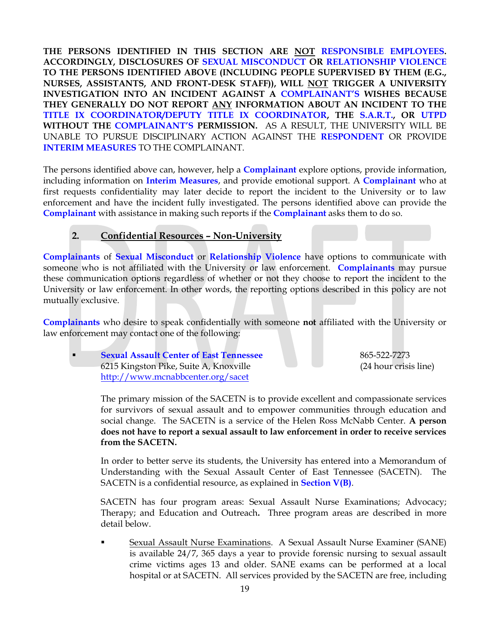**THE PERSONS IDENTIFIED IN THIS SECTION ARE NOT RESPONSIBLE EMPLOYEES. ACCORDINGLY, DISCLOSURES OF SEXUAL MISCONDUCT OR RELATIONSHIP VIOLENCE TO THE PERSONS IDENTIFIED ABOVE (INCLUDING PEOPLE SUPERVISED BY THEM (E.G., NURSES, ASSISTANTS, AND FRONT-DESK STAFF)), WILL NOT TRIGGER A UNIVERSITY INVESTIGATION INTO AN INCIDENT AGAINST A COMPLAINANT'S WISHES BECAUSE THEY GENERALLY DO NOT REPORT ANY INFORMATION ABOUT AN INCIDENT TO THE TITLE IX COORDINATOR/DEPUTY TITLE IX COORDINATOR, THE S.A.R.T., OR UTPD WITHOUT THE COMPLAINANT'S PERMISSION.** AS A RESULT, THE UNIVERSITY WILL BE UNABLE TO PURSUE DISCIPLINARY ACTION AGAINST THE **RESPONDENT** OR PROVIDE **INTERIM MEASURES** TO THE COMPLAINANT.

The persons identified above can, however, help a **Complainant** explore options, provide information, including information on **Interim Measures**, and provide emotional support. A **Complainant** who at first requests confidentiality may later decide to report the incident to the University or to law enforcement and have the incident fully investigated. The persons identified above can provide the **Complainant** with assistance in making such reports if the **Complainant** asks them to do so.

## **2. Confidential Resources – Non-University**

**Complainants** of **Sexual Misconduct** or **Relationship Violence** have options to communicate with someone who is not affiliated with the University or law enforcement. **Complainants** may pursue these communication options regardless of whether or not they choose to report the incident to the University or law enforcement. In other words, the reporting options described in this policy are not mutually exclusive.

**Complainants** who desire to speak confidentially with someone **not** affiliated with the University or law enforcement may contact one of the following:

**Sexual Assault Center of East Tennessee** 865-522-7273 6215 Kingston Pike, Suite A, Knoxville (24 hour crisis line) <http://www.mcnabbcenter.org/sacet>

The primary mission of the SACETN is to provide excellent and compassionate services for survivors of sexual assault and to empower communities through education and social change. The SACETN is a service of the Helen Ross McNabb Center. **A person does not have to report a sexual assault to law enforcement in order to receive services from the SACETN.**

In order to better serve its students, the University has entered into a Memorandum of Understanding with the Sexual Assault Center of East Tennessee (SACETN). The SACETN is a confidential resource, as explained in **Section V(B)**.

SACETN has four program areas: Sexual Assault Nurse Examinations; Advocacy; Therapy; and Education and Outreach**.** Three program areas are described in more detail below.

 Sexual Assault Nurse Examinations. A Sexual Assault Nurse Examiner (SANE) is available 24/7, 365 days a year to provide forensic nursing to sexual assault crime victims ages 13 and older. SANE exams can be performed at a local hospital or at SACETN. All services provided by the SACETN are free, including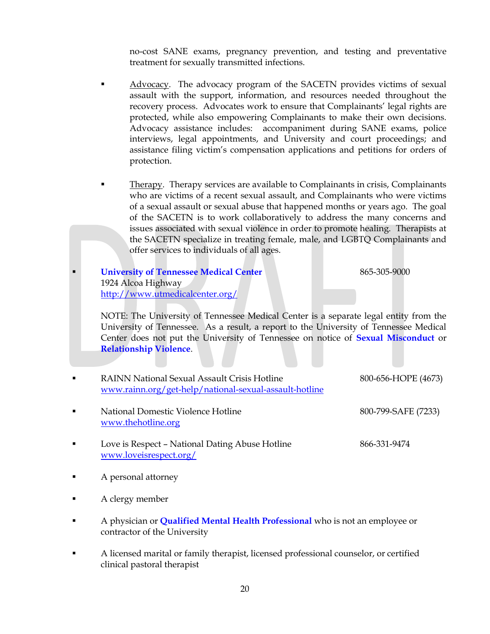no-cost SANE exams, pregnancy prevention, and testing and preventative treatment for sexually transmitted infections.

- Advocacy. The advocacy program of the SACETN provides victims of sexual assault with the support, information, and resources needed throughout the recovery process. Advocates work to ensure that Complainants' legal rights are protected, while also empowering Complainants to make their own decisions. Advocacy assistance includes: accompaniment during SANE exams, police interviews, legal appointments, and University and court proceedings; and assistance filing victim's compensation applications and petitions for orders of protection.
- Therapy. Therapy services are available to Complainants in crisis, Complainants who are victims of a recent sexual assault, and Complainants who were victims of a sexual assault or sexual abuse that happened months or years ago. The goal of the SACETN is to work collaboratively to address the many concerns and issues associated with sexual violence in order to promote healing. Therapists at the SACETN specialize in treating female, male, and LGBTQ Complainants and offer services to individuals of all ages.

| <b>University of Tennessee Medical Center</b> | 865-305-9000 |
|-----------------------------------------------|--------------|
| 1924 Alcoa Highway                            |              |
| http://www.utmedicalcenter.org/               |              |

NOTE: The University of Tennessee Medical Center is a separate legal entity from the University of Tennessee. As a result, a report to the University of Tennessee Medical Center does not put the University of Tennessee on notice of **Sexual Misconduct** or **Relationship Violence**.

| $\blacksquare$ | <b>RAINN National Sexual Assault Crisis Hotline</b><br>www.rainn.org/get-help/national-sexual-assault-hotline | 800-656-HOPE (4673) |
|----------------|---------------------------------------------------------------------------------------------------------------|---------------------|
| $\blacksquare$ | National Domestic Violence Hotline<br>www.thehotline.org                                                      | 800-799-SAFE (7233) |
| $\blacksquare$ | Love is Respect - National Dating Abuse Hotline<br>www.loveisrespect.org/                                     | 866-331-9474        |

- A personal attorney
- A clergy member
- A physician or **Qualified Mental Health Professional** who is not an employee or contractor of the University
- A licensed marital or family therapist, licensed professional counselor, or certified clinical pastoral therapist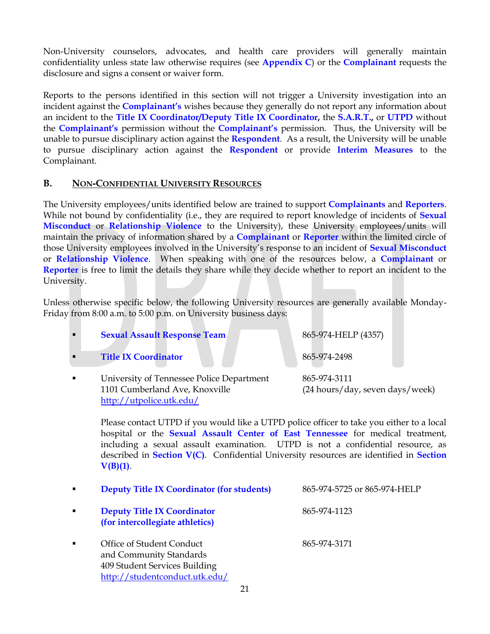Non-University counselors, advocates, and health care providers will generally maintain confidentiality unless state law otherwise requires (see **Appendix C**) or the **Complainant** requests the disclosure and signs a consent or waiver form.

Reports to the persons identified in this section will not trigger a University investigation into an incident against the **Complainant's** wishes because they generally do not report any information about an incident to the **Title IX Coordinator/Deputy Title IX Coordinator,** the **S.A.R.T.,** or **UTPD** without the **Complainant's** permission without the **Complainant's** permission. Thus, the University will be unable to pursue disciplinary action against the **Respondent**. As a result, the University will be unable to pursue disciplinary action against the **Respondent** or provide **Interim Measures** to the Complainant.

#### **B. NON-CONFIDENTIAL UNIVERSITY RESOURCES**

The University employees/units identified below are trained to support **Complainants** and **Reporters**. While not bound by confidentiality (i.e., they are required to report knowledge of incidents of **Sexual Misconduct** or **Relationship Violence** to the University), these University employees/units will maintain the privacy of information shared by a **Complainant** or **Reporter** within the limited circle of those University employees involved in the University's response to an incident of **Sexual Misconduct** or **Relationship Violence**. When speaking with one of the resources below, a **Complainant** or **Reporter** is free to limit the details they share while they decide whether to report an incident to the University.

Unless otherwise specific below, the following University resources are generally available Monday-Friday from 8:00 a.m. to 5:00 p.m. on University business days:

| $\blacksquare$ | <b>Sexual Assault Response Team</b>                                                                     | 865-974-HELP (4357)                             |
|----------------|---------------------------------------------------------------------------------------------------------|-------------------------------------------------|
| п              | <b>Title IX Coordinator</b>                                                                             | 865-974-2498                                    |
| $\blacksquare$ | University of Tennessee Police Department<br>1101 Cumberland Ave, Knoxville<br>http://utpolice.utk.edu/ | 865-974-3111<br>(24 hours/day, seven days/week) |

Please contact UTPD if you would like a UTPD police officer to take you either to a local hospital or the **Sexual Assault Center of East Tennessee** for medical treatment, including a sexual assault examination. UTPD is not a confidential resource, as described in **Section V(C)**. Confidential University resources are identified in **Section V(B)(1)**.

| $\blacksquare$ | <b>Deputy Title IX Coordinator (for students)</b>                                                                       | 865-974-5725 or 865-974-HELP |
|----------------|-------------------------------------------------------------------------------------------------------------------------|------------------------------|
| $\blacksquare$ | <b>Deputy Title IX Coordinator</b><br>(for intercollegiate athletics)                                                   | 865-974-1123                 |
| $\blacksquare$ | Office of Student Conduct<br>and Community Standards<br>409 Student Services Building<br>http://studentconduct.utk.edu/ | 865-974-3171                 |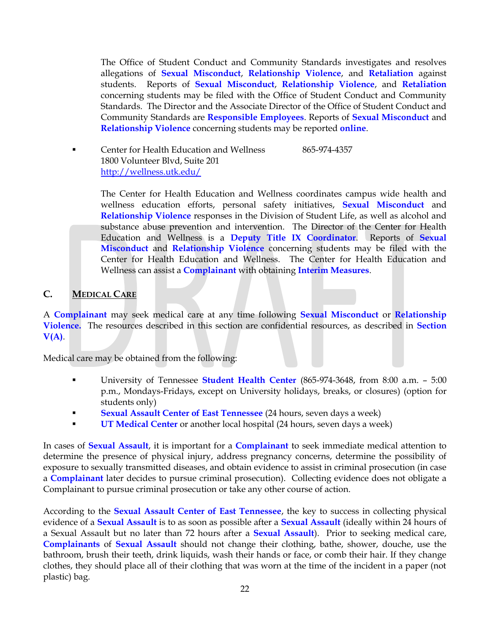The Office of Student Conduct and Community Standards investigates and resolves allegations of **Sexual Misconduct**, **Relationship Violence**, and **Retaliation** against students. Reports of **Sexual Misconduct**, **Relationship Violence**, and **Retaliation** concerning students may be filed with the Office of Student Conduct and Community Standards. The Director and the Associate Director of the Office of Student Conduct and Community Standards are **Responsible Employees**. Reports of **Sexual Misconduct** and **Relationship Violence** concerning students may be reported **[online](https://publicdocs.maxient.com/incidentreport.php?UnivofTennessee)**.

**EXECUTE:** Center for Health Education and Wellness 865-974-4357 1800 Volunteer Blvd, Suite 201 <http://wellness.utk.edu/>

> The Center for Health Education and Wellness coordinates campus wide health and wellness education efforts, personal safety initiatives, **Sexual Misconduct** and **Relationship Violence** responses in the Division of Student Life, as well as alcohol and substance abuse prevention and intervention. The Director of the Center for Health Education and Wellness is a **Deputy Title IX Coordinator**. Reports of **Sexual Misconduct** and **Relationship Violence** concerning students may be filed with the Center for Health Education and Wellness. The Center for Health Education and Wellness can assist a **Complainant** with obtaining **Interim Measures**.

## **C. MEDICAL CARE**

A **Complainant** may seek medical care at any time following **Sexual Misconduct** or **Relationship Violence.** The resources described in this section are confidential resources, as described in **Section V(A)**.

Medical care may be obtained from the following:

- University of Tennessee **[Student Health Center](http://studenthealth.utk.edu/)** (865-974-3648, from 8:00 a.m. 5:00 p.m., Mondays-Fridays, except on University holidays, breaks, or closures) (option for students only)
- **Sexual Assault Center of East Tennessee** (24 hours, seven days a week)
- **UT Medical Center** or another local hospital (24 hours, seven days a week)

In cases of **Sexual Assault**, it is important for a **Complainant** to seek immediate medical attention to determine the presence of physical injury, address pregnancy concerns, determine the possibility of exposure to sexually transmitted diseases, and obtain evidence to assist in criminal prosecution (in case a **Complainant** later decides to pursue criminal prosecution). Collecting evidence does not obligate a Complainant to pursue criminal prosecution or take any other course of action.

According to the **Sexual Assault Center of East Tennessee**, the key to success in collecting physical evidence of a **Sexual Assault** is to as soon as possible after a **Sexual Assault** (ideally within 24 hours of a Sexual Assault but no later than 72 hours after a **Sexual Assault**). Prior to seeking medical care, **Complainants** of **Sexual Assault** should not change their clothing, bathe, shower, douche, use the bathroom, brush their teeth, drink liquids, wash their hands or face, or comb their hair. If they change clothes, they should place all of their clothing that was worn at the time of the incident in a paper (not plastic) bag.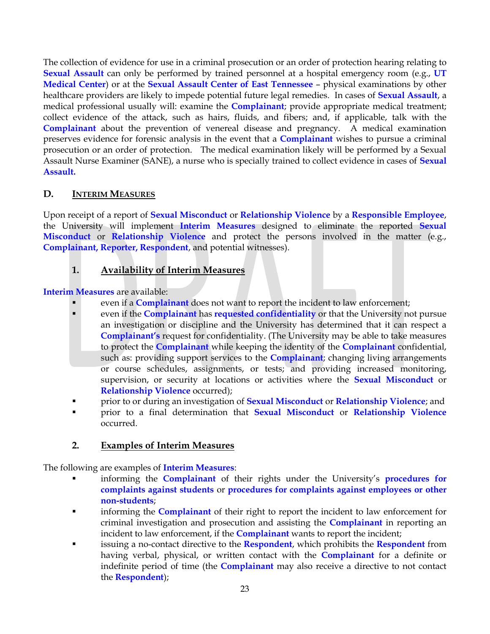The collection of evidence for use in a criminal prosecution or an order of protection hearing relating to **Sexual Assault** can only be performed by trained personnel at a hospital emergency room (e.g., **UT Medical Center**) or at the **Sexual Assault Center of East Tennessee** – physical examinations by other healthcare providers are likely to impede potential future legal remedies. In cases of **Sexual Assault**, a medical professional usually will: examine the **Complainant**; provide appropriate medical treatment; collect evidence of the attack, such as hairs, fluids, and fibers; and, if applicable, talk with the **Complainant** about the prevention of venereal disease and pregnancy. A medical examination preserves evidence for forensic analysis in the event that a **Complainant** wishes to pursue a criminal prosecution or an order of protection. The medical examination likely will be performed by a Sexual Assault Nurse Examiner (SANE), a nurse who is specially trained to collect evidence in cases of **Sexual Assault.**

## **D. INTERIM MEASURES**

Upon receipt of a report of **Sexual Misconduct** or **Relationship Violence** by a **Responsible Employee**, the University will implement **Interim Measures** designed to eliminate the reported **Sexual Misconduct** or **Relationship Violence** and protect the persons involved in the matter (e.g., **Complainant, Reporter, Respondent**, and potential witnesses).

## **1. Availability of Interim Measures**

**Interim Measures** are available:

- even if a **Complainant** does not want to report the incident to law enforcement;
- even if the **Complainant** has **requested confidentiality** or that the University not pursue an investigation or discipline and the University has determined that it can respect a **Complainant's** request for confidentiality. (The University may be able to take measures to protect the **Complainant** while keeping the identity of the **Complainant** confidential, such as: providing support services to the **Complainant**; changing living arrangements or course schedules, assignments, or tests; and providing increased monitoring, supervision, or security at locations or activities where the **Sexual Misconduct** or **Relationship Violence** occurred);
- prior to or during an investigation of **Sexual Misconduct** or **Relationship Violence**; and
- prior to a final determination that **Sexual Misconduct** or **Relationship Violence** occurred.

#### **2. Examples of Interim Measures**

The following are examples of **Interim Measures**:

- informing the **Complainant** of their rights under the University's **procedures for complaints against students** or **procedures for complaints against employees or other non-students**;
- informing the **Complainant** of their right to report the incident to law enforcement for criminal investigation and prosecution and assisting the **Complainant** in reporting an incident to law enforcement, if the **Complainant** wants to report the incident;
- issuing a no-contact directive to the **Respondent**, which prohibits the **Respondent** from having verbal, physical, or written contact with the **Complainant** for a definite or indefinite period of time (the **Complainant** may also receive a directive to not contact the **Respondent**);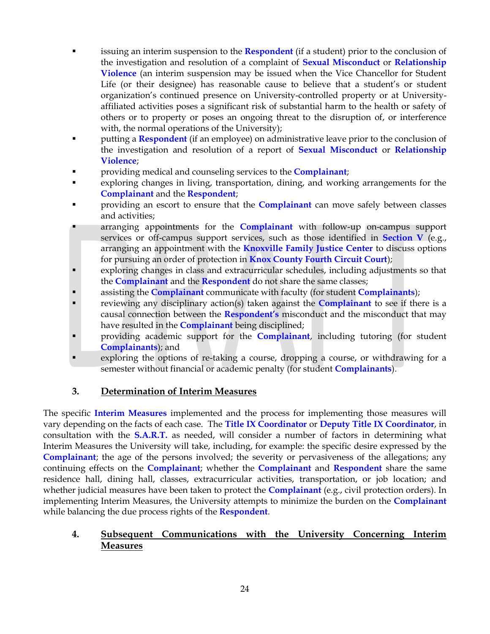- issuing an interim suspension to the **Respondent** (if a student) prior to the conclusion of the investigation and resolution of a complaint of **Sexual Misconduct** or **Relationship Violence** (an interim suspension may be issued when the Vice Chancellor for Student Life (or their designee) has reasonable cause to believe that a student's or student organization's continued presence on University-controlled property or at Universityaffiliated activities poses a significant risk of substantial harm to the health or safety of others or to property or poses an ongoing threat to the disruption of, or interference with, the normal operations of the University);
- **Putting a Respondent** (if an employee) on administrative leave prior to the conclusion of the investigation and resolution of a report of **Sexual Misconduct** or **Relationship Violence**;
- providing medical and counseling services to the **Complainant**;
- exploring changes in living, transportation, dining, and working arrangements for the **Complainant** and the **Respondent**;
- **PERICY** Providing an escort to ensure that the **Complainant** can move safely between classes and activities;
- arranging appointments for the **Complainant** with follow-up on-campus support services or off-campus support services, such as those identified in **Section V** (e.g., arranging an appointment with the **Knoxville Family Justice Center** to discuss options for pursuing an order of protection in **Knox County Fourth Circuit Court**);
- exploring changes in class and extracurricular schedules, including adjustments so that the **Complainant** and the **Respondent** do not share the same classes;
- assisting the **Complainant** communicate with faculty (for student **Complainants**);
- reviewing any disciplinary action(s) taken against the **Complainant** to see if there is a causal connection between the **Respondent's** misconduct and the misconduct that may have resulted in the **Complainant** being disciplined;
- providing academic support for the **Complainant**, including tutoring (for student **Complainants**); and
- exploring the options of re-taking a course, dropping a course, or withdrawing for a semester without financial or academic penalty (for student **Complainants**).

#### **3. Determination of Interim Measures**

The specific **Interim Measures** implemented and the process for implementing those measures will vary depending on the facts of each case. The **Title IX Coordinator** or **Deputy Title IX Coordinator**, in consultation with the **S.A.R.T.** as needed, will consider a number of factors in determining what Interim Measures the University will take, including, for example: the specific desire expressed by the **Complainant**; the age of the persons involved; the severity or pervasiveness of the allegations; any continuing effects on the **Complainant**; whether the **Complainant** and **Respondent** share the same residence hall, dining hall, classes, extracurricular activities, transportation, or job location; and whether judicial measures have been taken to protect the **Complainant** (e.g., civil protection orders). In implementing Interim Measures, the University attempts to minimize the burden on the **Complainant** while balancing the due process rights of the **Respondent**.

#### **4. Subsequent Communications with the University Concerning Interim Measures**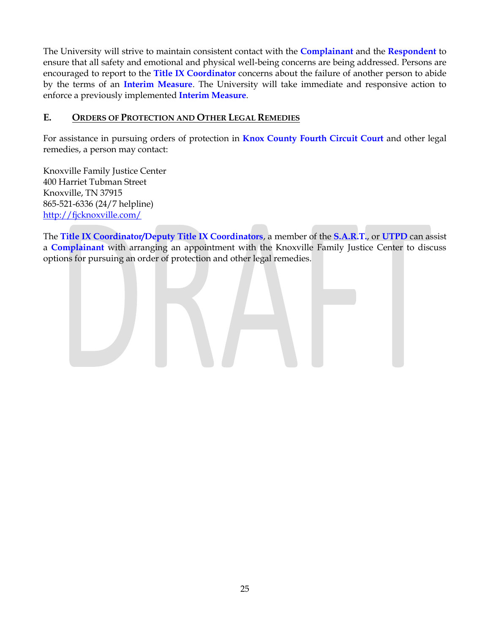The University will strive to maintain consistent contact with the **Complainant** and the **Respondent** to ensure that all safety and emotional and physical well-being concerns are being addressed. Persons are encouraged to report to the **Title IX Coordinator** concerns about the failure of another person to abide by the terms of an **Interim Measure**. The University will take immediate and responsive action to enforce a previously implemented **Interim Measure**.

#### **E. ORDERS OF PROTECTION AND OTHER LEGAL REMEDIES**

For assistance in pursuing orders of protection in **Knox County Fourth Circuit Court** and other legal remedies, a person may contact:

Knoxville Family Justice Center 400 Harriet Tubman Street Knoxville, TN 37915 865-521-6336 (24/7 helpline) <http://fjcknoxville.com/>

The **Title IX Coordinator/Deputy Title IX Coordinators**, a member of the **S.A.R.T.**, or **UTPD** can assist a **Complainant** with arranging an appointment with the Knoxville Family Justice Center to discuss options for pursuing an order of protection and other legal remedies.

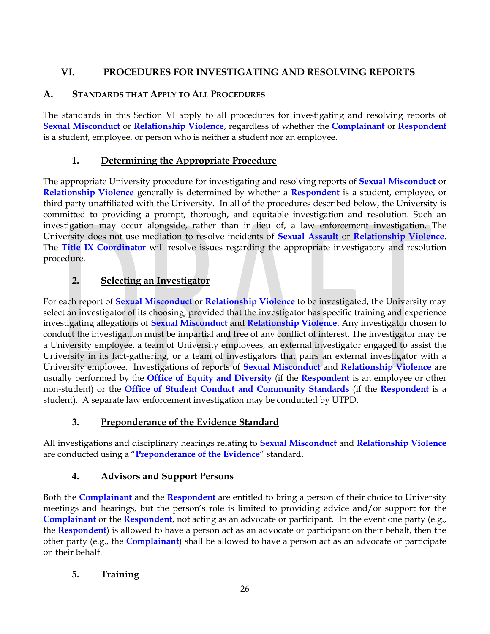# **VI. PROCEDURES FOR INVESTIGATING AND RESOLVING REPORTS**

## **A. STANDARDS THAT APPLY TO ALL PROCEDURES**

The standards in this Section VI apply to all procedures for investigating and resolving reports of **Sexual Misconduct** or **Relationship Violence**, regardless of whether the **Complainant** or **Respondent** is a student, employee, or person who is neither a student nor an employee.

## **1. Determining the Appropriate Procedure**

The appropriate University procedure for investigating and resolving reports of **Sexual Misconduct** or **Relationship Violence** generally is determined by whether a **Respondent** is a student, employee, or third party unaffiliated with the University. In all of the procedures described below, the University is committed to providing a prompt, thorough, and equitable investigation and resolution. Such an investigation may occur alongside, rather than in lieu of, a law enforcement investigation. The University does not use mediation to resolve incidents of **Sexual Assault** or **Relationship Violence**. The **Title IX Coordinator** will resolve issues regarding the appropriate investigatory and resolution procedure.

## **2. Selecting an Investigator**

For each report of **Sexual Misconduct** or **Relationship Violence** to be investigated, the University may select an investigator of its choosing, provided that the investigator has specific training and experience investigating allegations of **Sexual Misconduct** and **Relationship Violence**. Any investigator chosen to conduct the investigation must be impartial and free of any conflict of interest. The investigator may be a University employee, a team of University employees, an external investigator engaged to assist the University in its fact-gathering, or a team of investigators that pairs an external investigator with a University employee. Investigations of reports of **Sexual Misconduct** and **Relationship Violence** are usually performed by the **Office of Equity and Diversity** (if the **Respondent** is an employee or other non-student) or the **Office of Student Conduct and Community Standards** (if the **Respondent** is a student). A separate law enforcement investigation may be conducted by UTPD.

## **3. Preponderance of the Evidence Standard**

All investigations and disciplinary hearings relating to **Sexual Misconduct** and **Relationship Violence** are conducted using a "**Preponderance of the Evidence**" standard.

#### **4. Advisors and Support Persons**

Both the **Complainant** and the **Respondent** are entitled to bring a person of their choice to University meetings and hearings, but the person's role is limited to providing advice and/or support for the **Complainant** or the **Respondent**, not acting as an advocate or participant. In the event one party (e.g., the **Respondent**) is allowed to have a person act as an advocate or participant on their behalf, then the other party (e.g., the **Complainant**) shall be allowed to have a person act as an advocate or participate on their behalf.

## **5. Training**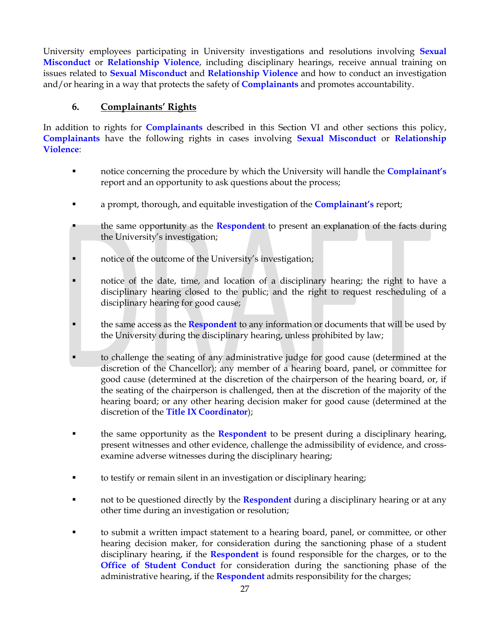University employees participating in University investigations and resolutions involving **Sexual Misconduct** or **Relationship Violence**, including disciplinary hearings, receive annual training on issues related to **Sexual Misconduct** and **Relationship Violence** and how to conduct an investigation and/or hearing in a way that protects the safety of **Complainants** and promotes accountability.

#### **6. Complainants' Rights**

In addition to rights for **Complainants** described in this Section VI and other sections this policy, **Complainants** have the following rights in cases involving **Sexual Misconduct** or **Relationship Violence**:

- notice concerning the procedure by which the University will handle the **Complainant's** report and an opportunity to ask questions about the process;
- a prompt, thorough, and equitable investigation of the **Complainant's** report;
- the same opportunity as the **Respondent** to present an explanation of the facts during the University's investigation;
- notice of the outcome of the University's investigation;
- notice of the date, time, and location of a disciplinary hearing; the right to have a disciplinary hearing closed to the public; and the right to request rescheduling of a disciplinary hearing for good cause;
- the same access as the **Respondent** to any information or documents that will be used by the University during the disciplinary hearing, unless prohibited by law;
- to challenge the seating of any administrative judge for good cause (determined at the discretion of the Chancellor); any member of a hearing board, panel, or committee for good cause (determined at the discretion of the chairperson of the hearing board, or, if the seating of the chairperson is challenged, then at the discretion of the majority of the hearing board; or any other hearing decision maker for good cause (determined at the discretion of the **Title IX Coordinator**);
- the same opportunity as the **Respondent** to be present during a disciplinary hearing, present witnesses and other evidence, challenge the admissibility of evidence, and crossexamine adverse witnesses during the disciplinary hearing;
- to testify or remain silent in an investigation or disciplinary hearing;
- not to be questioned directly by the **Respondent** during a disciplinary hearing or at any other time during an investigation or resolution;
- to submit a written impact statement to a hearing board, panel, or committee, or other hearing decision maker, for consideration during the sanctioning phase of a student disciplinary hearing, if the **Respondent** is found responsible for the charges, or to the **Office of Student Conduct** for consideration during the sanctioning phase of the administrative hearing, if the **Respondent** admits responsibility for the charges;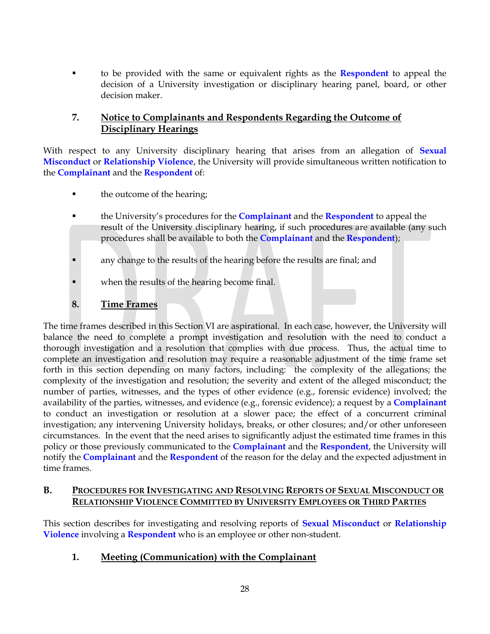to be provided with the same or equivalent rights as the **Respondent** to appeal the decision of a University investigation or disciplinary hearing panel, board, or other decision maker.

## **7. Notice to Complainants and Respondents Regarding the Outcome of Disciplinary Hearings**

With respect to any University disciplinary hearing that arises from an allegation of **Sexual Misconduct** or **Relationship Violence**, the University will provide simultaneous written notification to the **Complainant** and the **Respondent** of:

- the outcome of the hearing;
- the University's procedures for the **Complainant** and the **Respondent** to appeal the result of the University disciplinary hearing, if such procedures are available (any such procedures shall be available to both the **Complainant** and the **Respondent**);
- **a** any change to the results of the hearing before the results are final; and
- when the results of the hearing become final.
- **8. Time Frames**

The time frames described in this Section VI are aspirational. In each case, however, the University will balance the need to complete a prompt investigation and resolution with the need to conduct a thorough investigation and a resolution that complies with due process. Thus, the actual time to complete an investigation and resolution may require a reasonable adjustment of the time frame set forth in this section depending on many factors, including: the complexity of the allegations; the complexity of the investigation and resolution; the severity and extent of the alleged misconduct; the number of parties, witnesses, and the types of other evidence (e.g., forensic evidence) involved; the availability of the parties, witnesses, and evidence (e.g., forensic evidence); a request by a **Complainant** to conduct an investigation or resolution at a slower pace; the effect of a concurrent criminal investigation; any intervening University holidays, breaks, or other closures; and/or other unforeseen circumstances. In the event that the need arises to significantly adjust the estimated time frames in this policy or those previously communicated to the **Complainant** and the **Respondent**, the University will notify the **Complainant** and the **Respondent** of the reason for the delay and the expected adjustment in time frames.

#### **B. PROCEDURES FOR INVESTIGATING AND RESOLVING REPORTS OF SEXUAL MISCONDUCT OR RELATIONSHIP VIOLENCE COMMITTED BY UNIVERSITY EMPLOYEES OR THIRD PARTIES**

This section describes for investigating and resolving reports of **Sexual Misconduct** or **Relationship Violence** involving a **Respondent** who is an employee or other non-student.

#### **1. Meeting (Communication) with the Complainant**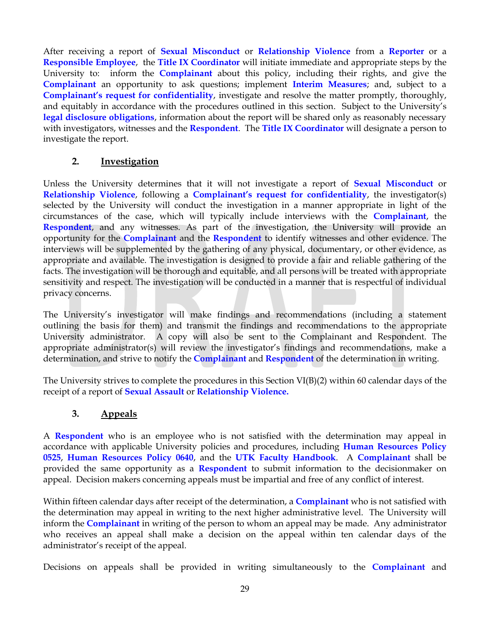After receiving a report of **Sexual Misconduct** or **Relationship Violence** from a **Reporter** or a **Responsible Employee**, the **Title IX Coordinator** will initiate immediate and appropriate steps by the University to: inform the **Complainant** about this policy, including their rights, and give the **Complainant** an opportunity to ask questions; implement **Interim Measures**; and, subject to a **Complainant's request for confidentiality**, investigate and resolve the matter promptly, thoroughly, and equitably in accordance with the procedures outlined in this section. Subject to the University's **legal disclosure obligations**, information about the report will be shared only as reasonably necessary with investigators, witnesses and the **Respondent**. The **Title IX Coordinator** will designate a person to investigate the report.

#### **2. Investigation**

Unless the University determines that it will not investigate a report of **Sexual Misconduct** or **Relationship Violence**, following a **Complainant's request for confidentiality**, the investigator(s) selected by the University will conduct the investigation in a manner appropriate in light of the circumstances of the case, which will typically include interviews with the **Complainant**, the **Respondent**, and any witnesses. As part of the investigation, the University will provide an opportunity for the **Complainant** and the **Respondent** to identify witnesses and other evidence. The interviews will be supplemented by the gathering of any physical, documentary, or other evidence, as appropriate and available. The investigation is designed to provide a fair and reliable gathering of the facts. The investigation will be thorough and equitable, and all persons will be treated with appropriate sensitivity and respect. The investigation will be conducted in a manner that is respectful of individual privacy concerns.

The University's investigator will make findings and recommendations (including a statement outlining the basis for them) and transmit the findings and recommendations to the appropriate University administrator. A copy will also be sent to the Complainant and Respondent. The appropriate administrator(s) will review the investigator's findings and recommendations, make a determination, and strive to notify the **Complainant** and **Respondent** of the determination in writing.

The University strives to complete the procedures in this Section  $VI(B)(2)$  within 60 calendar days of the receipt of a report of **Sexual Assault** or **Relationship Violence.**

#### **3. Appeals**

A **Respondent** who is an employee who is not satisfied with the determination may appeal in accordance with applicable University policies and procedures, including **Human Resources Policy 0525**, **Human Resources Policy 0640**, and the **UTK Faculty Handbook**. A **Complainant** shall be provided the same opportunity as a **Respondent** to submit information to the decisionmaker on appeal. Decision makers concerning appeals must be impartial and free of any conflict of interest.

Within fifteen calendar days after receipt of the determination, a **Complainant** who is not satisfied with the determination may appeal in writing to the next higher administrative level. The University will inform the **Complainant** in writing of the person to whom an appeal may be made. Any administrator who receives an appeal shall make a decision on the appeal within ten calendar days of the administrator's receipt of the appeal.

Decisions on appeals shall be provided in writing simultaneously to the **Complainant** and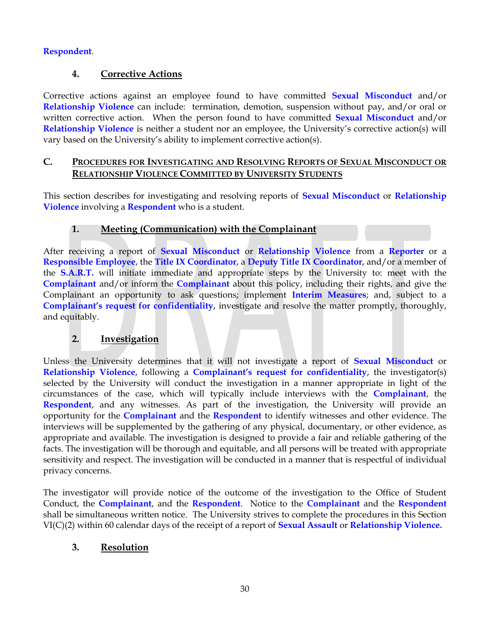#### **Respondent**.

#### **4. Corrective Actions**

Corrective actions against an employee found to have committed **Sexual Misconduct** and/or **Relationship Violence** can include: termination, demotion, suspension without pay, and/or oral or written corrective action. When the person found to have committed **Sexual Misconduct** and/or **Relationship Violence** is neither a student nor an employee, the University's corrective action(s) will vary based on the University's ability to implement corrective action(s).

#### **C. PROCEDURES FOR INVESTIGATING AND RESOLVING REPORTS OF SEXUAL MISCONDUCT OR RELATIONSHIP VIOLENCE COMMITTED BY UNIVERSITY STUDENTS**

This section describes for investigating and resolving reports of **Sexual Misconduct** or **Relationship Violence** involving a **Respondent** who is a student.

## **1. Meeting (Communication) with the Complainant**

After receiving a report of **Sexual Misconduct** or **Relationship Violence** from a **Reporter** or a **Responsible Employee**, the **Title IX Coordinator**, a **Deputy Title IX Coordinator**, and/or a member of the **S.A.R.T.** will initiate immediate and appropriate steps by the University to: meet with the **Complainant** and/or inform the **Complainant** about this policy, including their rights, and give the Complainant an opportunity to ask questions; implement **Interim Measures**; and, subject to a **Complainant's request for confidentiality**, investigate and resolve the matter promptly, thoroughly, and equitably.

#### **2. Investigation**

Unless the University determines that it will not investigate a report of **Sexual Misconduct** or **Relationship Violence**, following a **Complainant's request for confidentiality**, the investigator(s) selected by the University will conduct the investigation in a manner appropriate in light of the circumstances of the case, which will typically include interviews with the **Complainant**, the **Respondent**, and any witnesses. As part of the investigation, the University will provide an opportunity for the **Complainant** and the **Respondent** to identify witnesses and other evidence. The interviews will be supplemented by the gathering of any physical, documentary, or other evidence, as appropriate and available. The investigation is designed to provide a fair and reliable gathering of the facts. The investigation will be thorough and equitable, and all persons will be treated with appropriate sensitivity and respect. The investigation will be conducted in a manner that is respectful of individual privacy concerns.

The investigator will provide notice of the outcome of the investigation to the Office of Student Conduct, the **Complainant**, and the **Respondent**. Notice to the **Complainant** and the **Respondent** shall be simultaneous written notice. The University strives to complete the procedures in this Section VI(C)(2) within 60 calendar days of the receipt of a report of **Sexual Assault** or **Relationship Violence.**

#### **3. Resolution**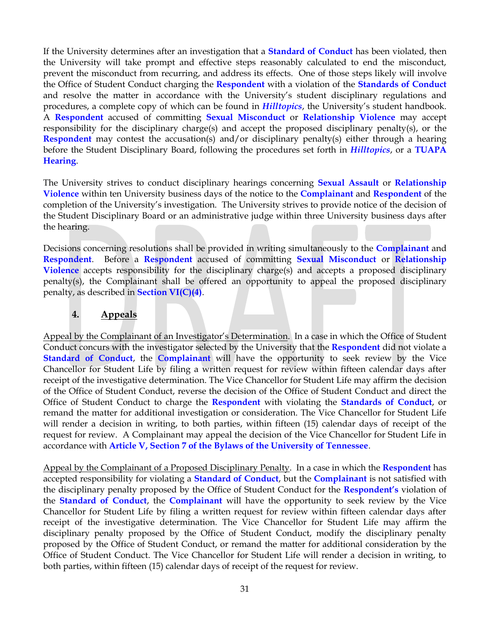If the University determines after an investigation that a **Standard of Conduct** has been violated, then the University will take prompt and effective steps reasonably calculated to end the misconduct, prevent the misconduct from recurring, and address its effects. One of those steps likely will involve the Office of Student Conduct charging the **Respondent** with a violation of the **Standards of Conduct** and resolve the matter in accordance with the University's student disciplinary regulations and procedures, a complete copy of which can be found in *Hilltopics*, the University's student handbook. A **Respondent** accused of committing **Sexual Misconduct** or **Relationship Violence** may accept responsibility for the disciplinary charge(s) and accept the proposed disciplinary penalty(s), or the **Respondent** may contest the accusation(s) and/or disciplinary penalty(s) either through a hearing before the Student Disciplinary Board, following the procedures set forth in *Hilltopics*, or a **TUAPA Hearing**.

The University strives to conduct disciplinary hearings concerning **Sexual Assault** or **Relationship Violence** within ten University business days of the notice to the **Complainant** and **Respondent** of the completion of the University's investigation. The University strives to provide notice of the decision of the Student Disciplinary Board or an administrative judge within three University business days after the hearing.

Decisions concerning resolutions shall be provided in writing simultaneously to the **Complainant** and **Respondent**. Before a **Respondent** accused of committing **Sexual Misconduct** or **Relationship Violence** accepts responsibility for the disciplinary charge(s) and accepts a proposed disciplinary penalty(s), the Complainant shall be offered an opportunity to appeal the proposed disciplinary penalty, as described in **Section VI(C)(4)**.

#### **4. Appeals**

Appeal by the Complainant of an Investigator's Determination. In a case in which the Office of Student Conduct concurs with the investigator selected by the University that the **Respondent** did not violate a **Standard of Conduct**, the **Complainant** will have the opportunity to seek review by the Vice Chancellor for Student Life by filing a written request for review within fifteen calendar days after receipt of the investigative determination. The Vice Chancellor for Student Life may affirm the decision of the Office of Student Conduct, reverse the decision of the Office of Student Conduct and direct the Office of Student Conduct to charge the **Respondent** with violating the **Standards of Conduct**, or remand the matter for additional investigation or consideration. The Vice Chancellor for Student Life will render a decision in writing, to both parties, within fifteen (15) calendar days of receipt of the request for review. A Complainant may appeal the decision of the Vice Chancellor for Student Life in accordance with **[Article V, Section 7 of the Bylaws of the University of Tennessee](http://bot.tennessee.edu/bylaws.html)**.

Appeal by the Complainant of a Proposed Disciplinary Penalty. In a case in which the **Respondent** has accepted responsibility for violating a **Standard of Conduct**, but the **Complainant** is not satisfied with the disciplinary penalty proposed by the Office of Student Conduct for the **Respondent's** violation of the **Standard of Conduct**, the **Complainant** will have the opportunity to seek review by the Vice Chancellor for Student Life by filing a written request for review within fifteen calendar days after receipt of the investigative determination. The Vice Chancellor for Student Life may affirm the disciplinary penalty proposed by the Office of Student Conduct, modify the disciplinary penalty proposed by the Office of Student Conduct, or remand the matter for additional consideration by the Office of Student Conduct. The Vice Chancellor for Student Life will render a decision in writing, to both parties, within fifteen (15) calendar days of receipt of the request for review.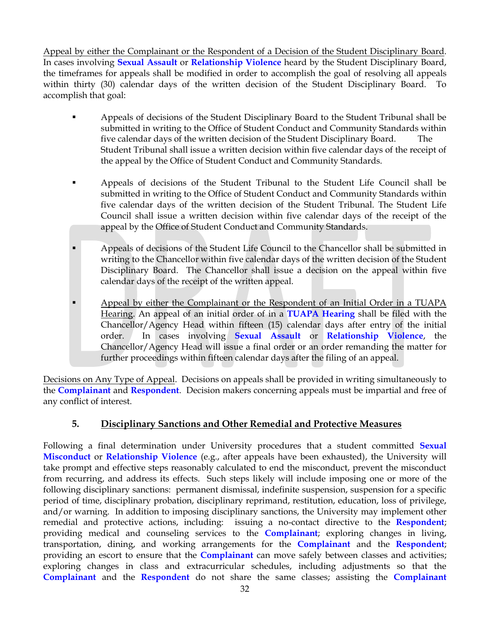Appeal by either the Complainant or the Respondent of a Decision of the Student Disciplinary Board. In cases involving **Sexual Assault** or **Relationship Violence** heard by the Student Disciplinary Board, the timeframes for appeals shall be modified in order to accomplish the goal of resolving all appeals within thirty (30) calendar days of the written decision of the Student Disciplinary Board. To accomplish that goal:

- Appeals of decisions of the Student Disciplinary Board to the Student Tribunal shall be submitted in writing to the Office of Student Conduct and Community Standards within five calendar days of the written decision of the Student Disciplinary Board. The Student Tribunal shall issue a written decision within five calendar days of the receipt of the appeal by the Office of Student Conduct and Community Standards.
- Appeals of decisions of the Student Tribunal to the Student Life Council shall be submitted in writing to the Office of Student Conduct and Community Standards within five calendar days of the written decision of the Student Tribunal. The Student Life Council shall issue a written decision within five calendar days of the receipt of the appeal by the Office of Student Conduct and Community Standards.
- Appeals of decisions of the Student Life Council to the Chancellor shall be submitted in writing to the Chancellor within five calendar days of the written decision of the Student Disciplinary Board. The Chancellor shall issue a decision on the appeal within five calendar days of the receipt of the written appeal.
- Appeal by either the Complainant or the Respondent of an Initial Order in a TUAPA Hearing. An appeal of an initial order of in a **TUAPA Hearing** shall be filed with the Chancellor/Agency Head within fifteen (15) calendar days after entry of the initial order. In cases involving **Sexual Assault** or **Relationship Violence**, the Chancellor/Agency Head will issue a final order or an order remanding the matter for further proceedings within fifteen calendar days after the filing of an appeal.

Decisions on Any Type of Appeal. Decisions on appeals shall be provided in writing simultaneously to the **Complainant** and **Respondent**. Decision makers concerning appeals must be impartial and free of any conflict of interest.

#### **5. Disciplinary Sanctions and Other Remedial and Protective Measures**

Following a final determination under University procedures that a student committed **Sexual Misconduct** or **Relationship Violence** (e.g., after appeals have been exhausted), the University will take prompt and effective steps reasonably calculated to end the misconduct, prevent the misconduct from recurring, and address its effects. Such steps likely will include imposing one or more of the following disciplinary sanctions: permanent dismissal, indefinite suspension, suspension for a specific period of time, disciplinary probation, disciplinary reprimand, restitution, education, loss of privilege, and/or warning. In addition to imposing disciplinary sanctions, the University may implement other remedial and protective actions, including: issuing a no-contact directive to the **Respondent**; providing medical and counseling services to the **Complainant**; exploring changes in living, transportation, dining, and working arrangements for the **Complainant** and the **Respondent**; providing an escort to ensure that the **Complainant** can move safely between classes and activities; exploring changes in class and extracurricular schedules, including adjustments so that the **Complainant** and the **Respondent** do not share the same classes; assisting the **Complainant**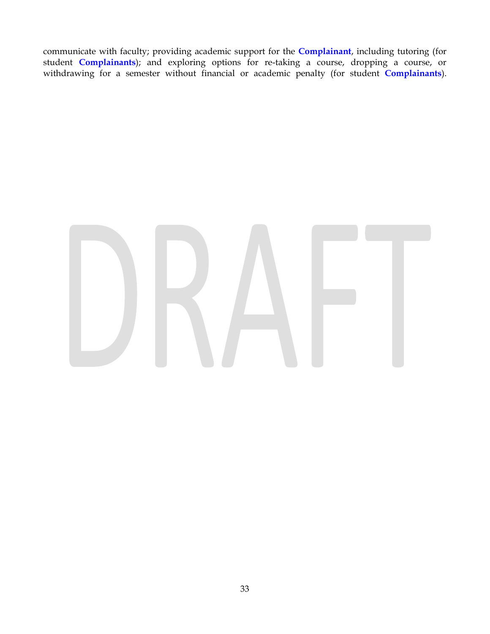communicate with faculty; providing academic support for the **Complainant**, including tutoring (for student **Complainants**); and exploring options for re-taking a course, dropping a course, or withdrawing for a semester without financial or academic penalty (for student **Complainants**).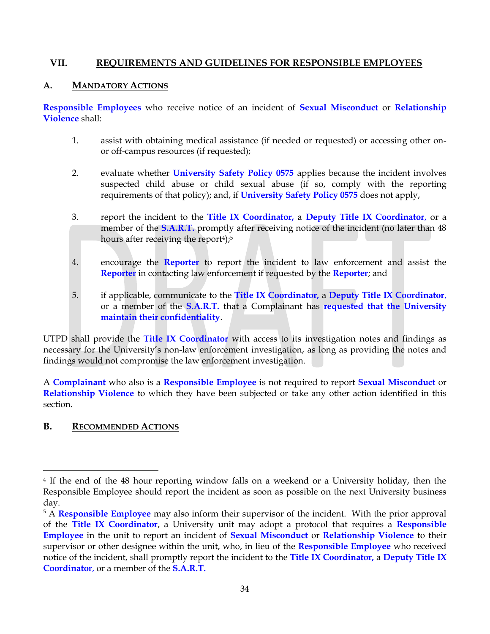#### **VII. REQUIREMENTS AND GUIDELINES FOR RESPONSIBLE EMPLOYEES**

#### **A. MANDATORY ACTIONS**

**Responsible Employees** who receive notice of an incident of **Sexual Misconduct** or **Relationship Violence** shall:

- 1. assist with obtaining medical assistance (if needed or requested) or accessing other onor off-campus resources (if requested);
- 2. evaluate whether **[University Safety Policy 0575](http://policy.tennessee.edu/safety_policy/sa0575/)** applies because the incident involves suspected child abuse or child sexual abuse (if so, comply with the reporting requirements of that policy); and, if **[University Safety Policy 0575](http://policy.tennessee.edu/safety_policy/sa0575/)** does not apply,
- 3. report the incident to the **Title IX Coordinator,** a **Deputy Title IX Coordinator**, or a member of the **S.A.R.T.** promptly after receiving notice of the incident (no later than 48 hours after receiving the report<sup>4</sup>);<sup>5</sup>
- 4. encourage the **Reporter** to report the incident to law enforcement and assist the **Reporter** in contacting law enforcement if requested by the **Reporter**; and
- 5. if applicable, communicate to the **Title IX Coordinator,** a **Deputy Title IX Coordinator**, or a member of the **S.A.R.T.** that a Complainant has **requested that the University maintain their confidentiality**.

UTPD shall provide the **Title IX Coordinator** with access to its investigation notes and findings as necessary for the University's non-law enforcement investigation, as long as providing the notes and findings would not compromise the law enforcement investigation.

A **Complainant** who also is a **Responsible Employee** is not required to report **Sexual Misconduct** or **Relationship Violence** to which they have been subjected or take any other action identified in this section.

#### **B. RECOMMENDED ACTIONS**

l

<sup>4</sup> If the end of the 48 hour reporting window falls on a weekend or a University holiday, then the Responsible Employee should report the incident as soon as possible on the next University business day.

<sup>5</sup> A **Responsible Employee** may also inform their supervisor of the incident. With the prior approval of the **Title IX Coordinator**, a University unit may adopt a protocol that requires a **Responsible Employee** in the unit to report an incident of **Sexual Misconduct** or **Relationship Violence** to their supervisor or other designee within the unit, who, in lieu of the **Responsible Employee** who received notice of the incident, shall promptly report the incident to the **Title IX Coordinator,** a **Deputy Title IX Coordinator**, or a member of the **S.A.R.T.**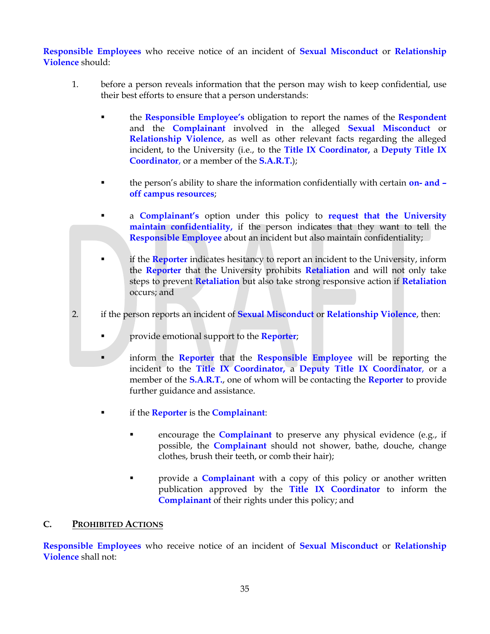**Responsible Employees** who receive notice of an incident of **Sexual Misconduct** or **Relationship Violence** should:

- 1. before a person reveals information that the person may wish to keep confidential, use their best efforts to ensure that a person understands:
	- the **Responsible Employee's** obligation to report the names of the **Respondent** and the **Complainant** involved in the alleged **Sexual Misconduct** or **Relationship Violence**, as well as other relevant facts regarding the alleged incident, to the University (i.e., to the **Title IX Coordinator,** a **Deputy Title IX Coordinator**, or a member of the **S.A.R.T.**);
	- the person's ability to share the information confidentially with certain **on- and – off campus resources**;
	- a **Complainant's** option under this policy to **request that the University maintain confidentiality,** if the person indicates that they want to tell the **Responsible Employee** about an incident but also maintain confidentiality;
	- **if the Reporter** indicates hesitancy to report an incident to the University, inform the **Reporter** that the University prohibits **Retaliation** and will not only take steps to prevent **Retaliation** but also take strong responsive action if **Retaliation** occurs; and
- 2. if the person reports an incident of **Sexual Misconduct** or **Relationship Violence**, then:
	- provide emotional support to the **Reporter**;
	- inform the **Reporter** that the **Responsible Employee** will be reporting the incident to the **Title IX Coordinator,** a **Deputy Title IX Coordinator**, or a member of the **S.A.R.T.**, one of whom will be contacting the **Reporter** to provide further guidance and assistance.
		- if the **Reporter** is the **Complainant**:
			- encourage the **Complainant** to preserve any physical evidence (e.g., if possible, the **Complainant** should not shower, bathe, douche, change clothes, brush their teeth, or comb their hair);
			- **• Provide a Complainant** with a copy of this policy or another written publication approved by the **Title IX Coordinator** to inform the **Complainant** of their rights under this policy; and

#### **C. PROHIBITED ACTIONS**

**Responsible Employees** who receive notice of an incident of **Sexual Misconduct** or **Relationship Violence** shall not: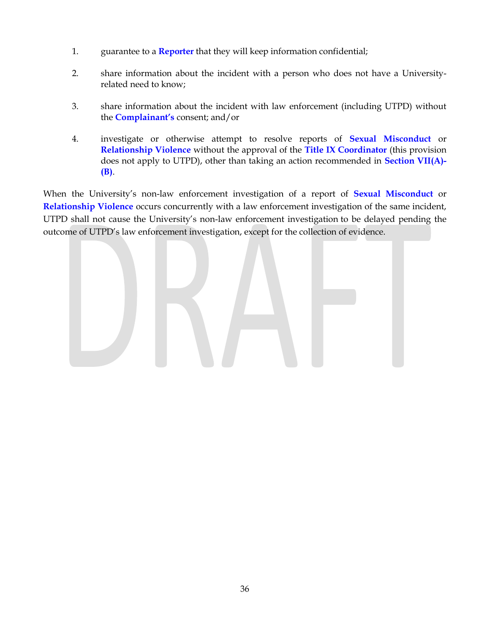- 1. guarantee to a **Reporter** that they will keep information confidential;
- 2. share information about the incident with a person who does not have a Universityrelated need to know;
- 3. share information about the incident with law enforcement (including UTPD) without the **Complainant's** consent; and/or
- 4. investigate or otherwise attempt to resolve reports of **Sexual Misconduct** or **Relationship Violence** without the approval of the **Title IX Coordinator** (this provision does not apply to UTPD), other than taking an action recommended in **Section VII(A)- (B)**.

When the University's non-law enforcement investigation of a report of **Sexual Misconduct** or **Relationship Violence** occurs concurrently with a law enforcement investigation of the same incident, UTPD shall not cause the University's non-law enforcement investigation to be delayed pending the outcome of UTPD's law enforcement investigation, except for the collection of evidence.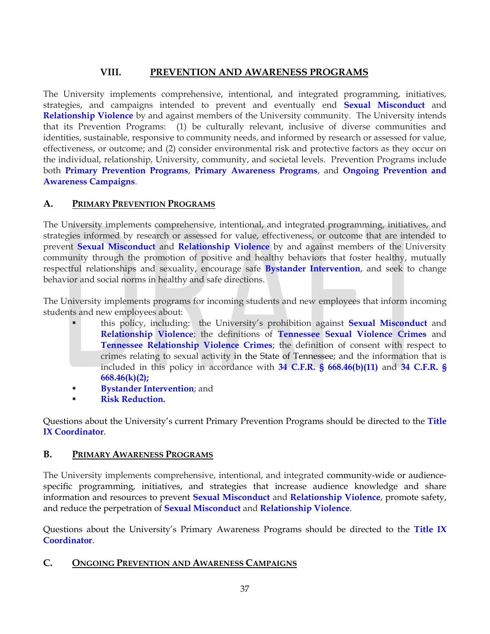## **VIII. PREVENTION AND AWARENESS PROGRAMS**

The University implements comprehensive, intentional, and integrated programming, initiatives, strategies, and campaigns intended to prevent and eventually end **Sexual Misconduct** and **Relationship Violence** by and against members of the University community. The University intends that its Prevention Programs: (1) be culturally relevant, inclusive of diverse communities and identities, sustainable, responsive to community needs, and informed by research or assessed for value, effectiveness, or outcome; and (2) consider environmental risk and protective factors as they occur on the individual, relationship, University, community, and societal levels. Prevention Programs include both **Primary Prevention Programs**, **Primary Awareness Programs**, and **Ongoing Prevention and Awareness Campaigns**.

## **A. PRIMARY PREVENTION PROGRAMS**

The University implements comprehensive, intentional, and integrated programming, initiatives, and strategies informed by research or assessed for value, effectiveness, or outcome that are intended to prevent **Sexual Misconduct** and **Relationship Violence** by and against members of the University community through the promotion of positive and healthy behaviors that foster healthy, mutually respectful relationships and sexuality, encourage safe **Bystander Intervention**, and seek to change behavior and social norms in healthy and safe directions.

The University implements programs for incoming students and new employees that inform incoming students and new employees about:

- this policy, including: the University's prohibition against **Sexual Misconduct** and **Relationship Violence**; the definitions of **Tennessee Sexual Violence Crimes** and **Tennessee Relationship Violence Crimes**; the definition of consent with respect to crimes relating to sexual activity in the State of Tennessee; and the information that is included in this policy in accordance with **34 C.F.R. § 668.46(b)(11)** and **34 C.F.R. § 668.46(k)(2);**
- **Bystander Intervention**; and
- **Risk Reduction.**

Questions about the University's current Primary Prevention Programs should be directed to the **Title IX Coordinator**.

#### **B. PRIMARY AWARENESS PROGRAMS**

The University implements comprehensive, intentional, and integrated community-wide or audiencespecific programming, initiatives, and strategies that increase audience knowledge and share information and resources to prevent **Sexual Misconduct** and **Relationship Violence**, promote safety, and reduce the perpetration of **Sexual Misconduct** and **Relationship Violence**.

Questions about the University's Primary Awareness Programs should be directed to the **Title IX Coordinator**.

#### **C. ONGOING PREVENTION AND AWARENESS CAMPAIGNS**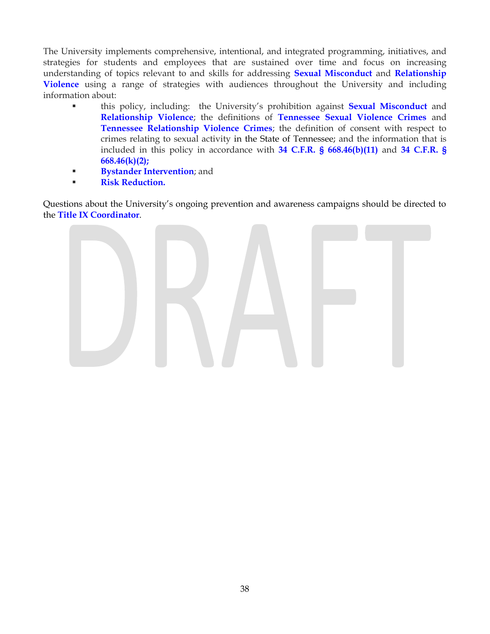The University implements comprehensive, intentional, and integrated programming, initiatives, and strategies for students and employees that are sustained over time and focus on increasing understanding of topics relevant to and skills for addressing **Sexual Misconduct** and **Relationship Violence** using a range of strategies with audiences throughout the University and including information about:

- this policy, including: the University's prohibition against **Sexual Misconduct** and **Relationship Violence**; the definitions of **Tennessee Sexual Violence Crimes** and **Tennessee Relationship Violence Crimes**; the definition of consent with respect to crimes relating to sexual activity in the State of Tennessee; and the information that is included in this policy in accordance with **34 C.F.R. § 668.46(b)(11)** and **34 C.F.R. § 668.46(k)(2);**
- **Bystander Intervention**; and
- **Risk Reduction.**

Questions about the University's ongoing prevention and awareness campaigns should be directed to the **Title IX Coordinator**.

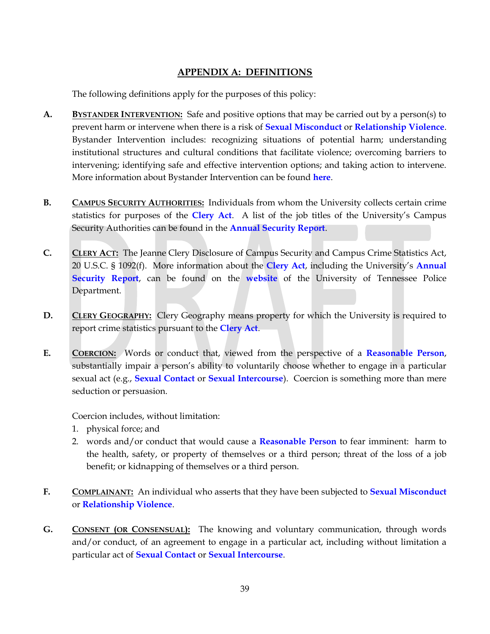## **APPENDIX A: DEFINITIONS**

The following definitions apply for the purposes of this policy:

- **A. BYSTANDER INTERVENTION:** Safe and positive options that may be carried out by a person(s) to prevent harm or intervene when there is a risk of **Sexual Misconduct** or **Relationship Violence**. Bystander Intervention includes: recognizing situations of potential harm; understanding institutional structures and cultural conditions that facilitate violence; overcoming barriers to intervening; identifying safe and effective intervention options; and taking action to intervene. More information about Bystander Intervention can be found **here**.
- **B. CAMPUS SECURITY AUTHORITIES:** Individuals from whom the University collects certain crime statistics for purposes of the **Clery Act**. A list of the job titles of the University's Campus Security Authorities can be found in the **Annual Security Report**.
- **C. CLERY ACT:** The Jeanne Clery Disclosure of Campus Security and Campus Crime Statistics Act, 20 U.S.C. § 1092(f). More information about the **Clery Act**, including the University's **Annual Security Report**, can be found on the **website** of the University of Tennessee Police Department.
- **D. CLERY GEOGRAPHY:** Clery Geography means property for which the University is required to report crime statistics pursuant to the **Clery Act**.
- **E. COERCION:** Words or conduct that, viewed from the perspective of a **Reasonable Person**, substantially impair a person's ability to voluntarily choose whether to engage in a particular sexual act (e.g., **Sexual Contact** or **Sexual Intercourse**). Coercion is something more than mere seduction or persuasion.

Coercion includes, without limitation:

- 1. physical force; and
- 2. words and/or conduct that would cause a **Reasonable Person** to fear imminent: harm to the health, safety, or property of themselves or a third person; threat of the loss of a job benefit; or kidnapping of themselves or a third person.
- **F. COMPLAINANT:** An individual who asserts that they have been subjected to **Sexual Misconduct** or **Relationship Violence**.
- **G. CONSENT (OR CONSENSUAL):** The knowing and voluntary communication, through words and/or conduct, of an agreement to engage in a particular act, including without limitation a particular act of **Sexual Contact** or **Sexual Intercourse**.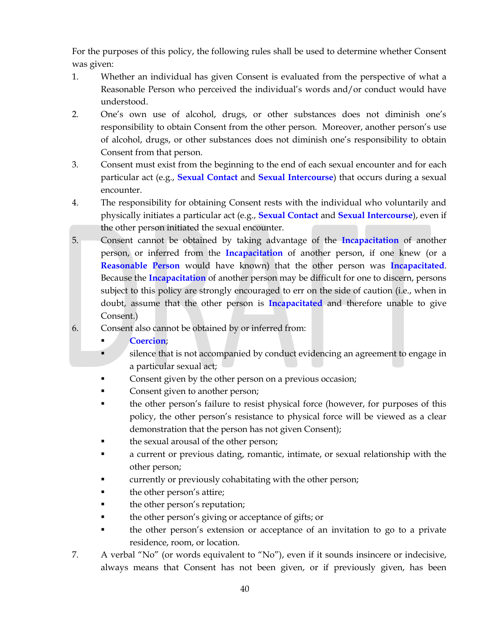For the purposes of this policy, the following rules shall be used to determine whether Consent was given:

- 1. Whether an individual has given Consent is evaluated from the perspective of what a Reasonable Person who perceived the individual's words and/or conduct would have understood.
- 2. One's own use of alcohol, drugs, or other substances does not diminish one's responsibility to obtain Consent from the other person. Moreover, another person's use of alcohol, drugs, or other substances does not diminish one's responsibility to obtain Consent from that person.
- 3. Consent must exist from the beginning to the end of each sexual encounter and for each particular act (e.g., **Sexual Contact** and **Sexual Intercourse**) that occurs during a sexual encounter.
- 4. The responsibility for obtaining Consent rests with the individual who voluntarily and physically initiates a particular act (e.g., **Sexual Contact** and **Sexual Intercourse**), even if the other person initiated the sexual encounter.
- 5. Consent cannot be obtained by taking advantage of the **Incapacitation** of another person, or inferred from the **Incapacitation** of another person, if one knew (or a **Reasonable Person** would have known) that the other person was **Incapacitated**. Because the **Incapacitation** of another person may be difficult for one to discern, persons subject to this policy are strongly encouraged to err on the side of caution (i.e., when in doubt, assume that the other person is **Incapacitated** and therefore unable to give Consent.)
- 6. Consent also cannot be obtained by or inferred from:
	- **Coercion**;
	- silence that is not accompanied by conduct evidencing an agreement to engage in a particular sexual act;
	- Consent given by the other person on a previous occasion;
	- Consent given to another person;
	- the other person's failure to resist physical force (however, for purposes of this policy, the other person's resistance to physical force will be viewed as a clear demonstration that the person has not given Consent);
	- the sexual arousal of the other person;
	- a current or previous dating, romantic, intimate, or sexual relationship with the other person;
	- currently or previously cohabitating with the other person;
	- the other person's attire;
	- the other person's reputation;
	- the other person's giving or acceptance of gifts; or
	- the other person's extension or acceptance of an invitation to go to a private residence, room, or location.
- 7. A verbal "No" (or words equivalent to "No"), even if it sounds insincere or indecisive, always means that Consent has not been given, or if previously given, has been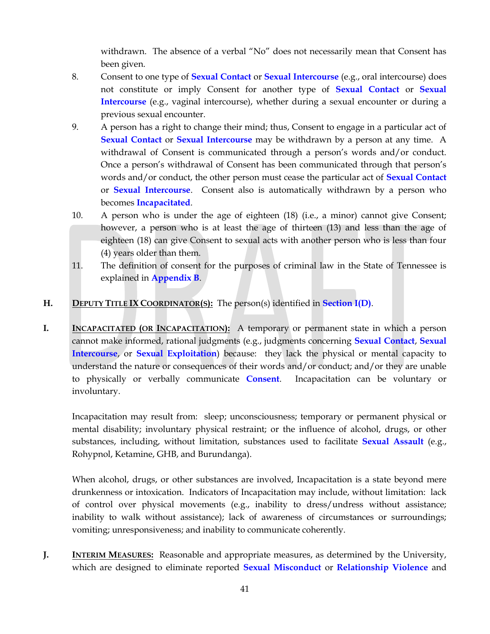withdrawn. The absence of a verbal "No" does not necessarily mean that Consent has been given.

- 8. Consent to one type of **Sexual Contact** or **Sexual Intercourse** (e.g., oral intercourse) does not constitute or imply Consent for another type of **Sexual Contact** or **Sexual Intercourse** (e.g., vaginal intercourse), whether during a sexual encounter or during a previous sexual encounter.
- 9. A person has a right to change their mind; thus, Consent to engage in a particular act of **Sexual Contact** or **Sexual Intercourse** may be withdrawn by a person at any time. A withdrawal of Consent is communicated through a person's words and/or conduct. Once a person's withdrawal of Consent has been communicated through that person's words and/or conduct, the other person must cease the particular act of **Sexual Contact** or **Sexual Intercourse**. Consent also is automatically withdrawn by a person who becomes **Incapacitated**.
- 10. A person who is under the age of eighteen (18) (i.e., a minor) cannot give Consent; however, a person who is at least the age of thirteen (13) and less than the age of eighteen (18) can give Consent to sexual acts with another person who is less than four (4) years older than them.
- 11. The definition of consent for the purposes of criminal law in the State of Tennessee is explained in **Appendix B**.
- **H. DEPUTY TITLE IX COORDINATOR(S):** The person(s) identified in **Section I(D)**.
- **I. INCAPACITATED (OR INCAPACITATION):** A temporary or permanent state in which a person cannot make informed, rational judgments (e.g., judgments concerning **Sexual Contact**, **Sexual Intercourse**, or **Sexual Exploitation**) because: they lack the physical or mental capacity to understand the nature or consequences of their words and/or conduct; and/or they are unable to physically or verbally communicate **Consent**. Incapacitation can be voluntary or involuntary.

Incapacitation may result from: sleep; unconsciousness; temporary or permanent physical or mental disability; involuntary physical restraint; or the influence of alcohol, drugs, or other substances, including, without limitation, substances used to facilitate **Sexual Assault** (e.g., Rohypnol, Ketamine, GHB, and Burundanga).

When alcohol, drugs, or other substances are involved, Incapacitation is a state beyond mere drunkenness or intoxication. Indicators of Incapacitation may include, without limitation: lack of control over physical movements (e.g., inability to dress/undress without assistance; inability to walk without assistance); lack of awareness of circumstances or surroundings; vomiting; unresponsiveness; and inability to communicate coherently.

**J. INTERIM MEASURES:** Reasonable and appropriate measures, as determined by the University, which are designed to eliminate reported **Sexual Misconduct** or **Relationship Violence** and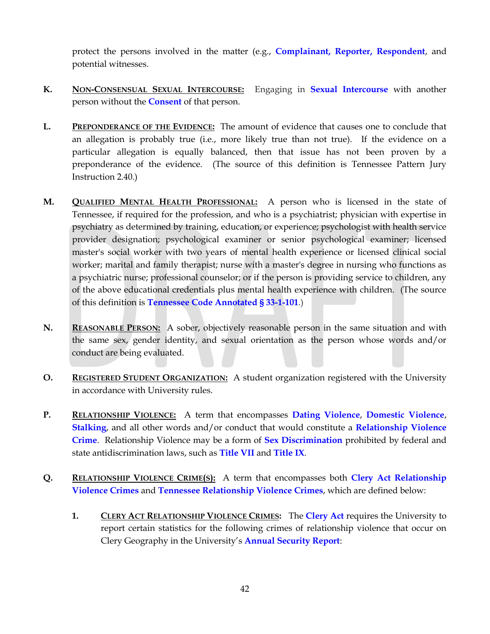protect the persons involved in the matter (e.g., **Complainant, Reporter, Respondent**, and potential witnesses.

- **K. NON-CONSENSUAL SEXUAL INTERCOURSE:** Engaging in **Sexual Intercourse** with another person without the **Consent** of that person.
- **L. PREPONDERANCE OF THE EVIDENCE:** The amount of evidence that causes one to conclude that an allegation is probably true (i.e., more likely true than not true). If the evidence on a particular allegation is equally balanced, then that issue has not been proven by a preponderance of the evidence. (The source of this definition is Tennessee Pattern Jury Instruction 2.40.)
- **M. QUALIFIED MENTAL HEALTH PROFESSIONAL:** A person who is licensed in the state of Tennessee, if required for the profession, and who is a psychiatrist; physician with expertise in psychiatry as determined by training, education, or experience; psychologist with health service provider designation; psychological examiner or senior psychological examiner; licensed master's social worker with two years of mental health experience or licensed clinical social worker; marital and family therapist; nurse with a master's degree in nursing who functions as a psychiatric nurse; professional counselor; or if the person is providing service to children, any of the above educational credentials plus mental health experience with children. (The source of this definition is **Tennessee Code Annotated § 33-1-101**.)
- **N. REASONABLE PERSON:** A sober, objectively reasonable person in the same situation and with the same sex, gender identity, and sexual orientation as the person whose words and/or conduct are being evaluated.
- **O. REGISTERED STUDENT ORGANIZATION:** A student organization registered with the University in accordance with University rules.
- **P. RELATIONSHIP VIOLENCE:** A term that encompasses **Dating Violence**, **Domestic Violence**, **Stalking**, and all other words and/or conduct that would constitute a **Relationship Violence Crime**. Relationship Violence may be a form of **Sex Discrimination** prohibited by federal and state antidiscrimination laws, such as **Title VII** and **Title IX**.
- **Q. RELATIONSHIP VIOLENCE CRIME(S):** A term that encompasses both **Clery Act Relationship Violence Crimes** and **Tennessee Relationship Violence Crimes**, which are defined below:
	- **1. CLERY ACT RELATIONSHIP VIOLENCE CRIMES:** The **Clery Act** requires the University to report certain statistics for the following crimes of relationship violence that occur on Clery Geography in the University's **Annual Security Report**: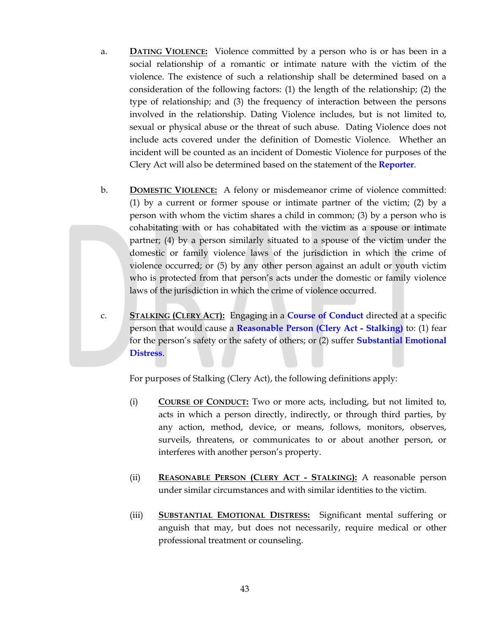- a. **DATING VIOLENCE:** Violence committed by a person who is or has been in a social relationship of a romantic or intimate nature with the victim of the violence. The existence of such a relationship shall be determined based on a consideration of the following factors: (1) the length of the relationship; (2) the type of relationship; and (3) the frequency of interaction between the persons involved in the relationship. Dating Violence includes, but is not limited to, sexual or physical abuse or the threat of such abuse. Dating Violence does not include acts covered under the definition of Domestic Violence. Whether an incident will be counted as an incident of Domestic Violence for purposes of the Clery Act will also be determined based on the statement of the **Reporter**.
- b. **DOMESTIC VIOLENCE:** A felony or misdemeanor crime of violence committed: (1) by a current or former spouse or intimate partner of the victim; (2) by a person with whom the victim shares a child in common; (3) by a person who is cohabitating with or has cohabitated with the victim as a spouse or intimate partner; (4) by a person similarly situated to a spouse of the victim under the domestic or family violence laws of the jurisdiction in which the crime of violence occurred; or (5) by any other person against an adult or youth victim who is protected from that person's acts under the domestic or family violence laws of the jurisdiction in which the crime of violence occurred.
- c. **STALKING (CLERY ACT):** Engaging in a **Course of Conduct** directed at a specific person that would cause a **Reasonable Person (Clery Act - Stalking)** to: (1) fear for the person's safety or the safety of others; or (2) suffer **Substantial Emotional Distress**.

For purposes of Stalking (Clery Act), the following definitions apply:

- (i) **COURSE OF CONDUCT:** Two or more acts, including, but not limited to, acts in which a person directly, indirectly, or through third parties, by any action, method, device, or means, follows, monitors, observes, surveils, threatens, or communicates to or about another person, or interferes with another person's property.
- (ii) **REASONABLE PERSON (CLERY ACT - STALKING):** A reasonable person under similar circumstances and with similar identities to the victim.
- (iii) **SUBSTANTIAL EMOTIONAL DISTRESS:** Significant mental suffering or anguish that may, but does not necessarily, require medical or other professional treatment or counseling.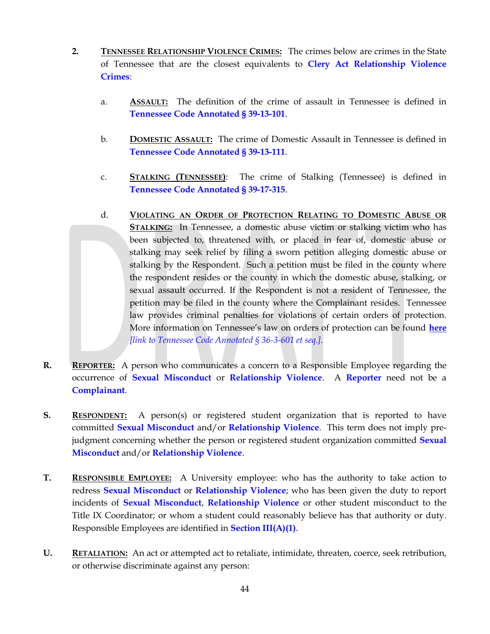- **2. TENNESSEE RELATIONSHIP VIOLENCE CRIMES:** The crimes below are crimes in the State of Tennessee that are the closest equivalents to **Clery Act Relationship Violence Crimes**:
	- a. **ASSAULT:** The definition of the crime of assault in Tennessee is defined in **Tennessee Code Annotated § 39-13-101**.
	- b. **DOMESTIC ASSAULT:** The crime of Domestic Assault in Tennessee is defined in **Tennessee Code Annotated § 39-13-111**.
	- c. **STALKING (TENNESSEE)**: The crime of Stalking (Tennessee) is defined in **Tennessee Code Annotated § 39-17-315**.
	- d. **VIOLATING AN ORDER OF PROTECTION RELATING TO DOMESTIC ABUSE OR STALKING:** In Tennessee, a domestic abuse victim or stalking victim who has been subjected to, threatened with, or placed in fear of, domestic abuse or stalking may seek relief by filing a sworn petition alleging domestic abuse or stalking by the Respondent. Such a petition must be filed in the county where the respondent resides or the county in which the domestic abuse, stalking, or sexual assault occurred. If the Respondent is not a resident of Tennessee, the petition may be filed in the county where the Complainant resides. Tennessee law provides criminal penalties for violations of certain orders of protection. More information on Tennessee's law on orders of protection can be found **here** *[link to Tennessee Code Annotated § 36-3-601 et seq.].*
- **R. REPORTER:** A person who communicates a concern to a Responsible Employee regarding the occurrence of **Sexual Misconduct** or **Relationship Violence**. A **Reporter** need not be a **Complainant**.
- **S. RESPONDENT:** A person(s) or registered student organization that is reported to have committed **Sexual Misconduct** and/or **Relationship Violence**. This term does not imply prejudgment concerning whether the person or registered student organization committed **Sexual Misconduct** and/or **Relationship Violence**.
- **T. RESPONSIBLE EMPLOYEE:** A University employee: who has the authority to take action to redress **Sexual Misconduct** or **Relationship Violence**; who has been given the duty to report incidents of **Sexual Misconduct**, **Relationship Violence** or other student misconduct to the Title IX Coordinator; or whom a student could reasonably believe has that authority or duty. Responsible Employees are identified in **Section III(A)(1)**.
- **U. RETALIATION:** An act or attempted act to retaliate, intimidate, threaten, coerce, seek retribution, or otherwise discriminate against any person: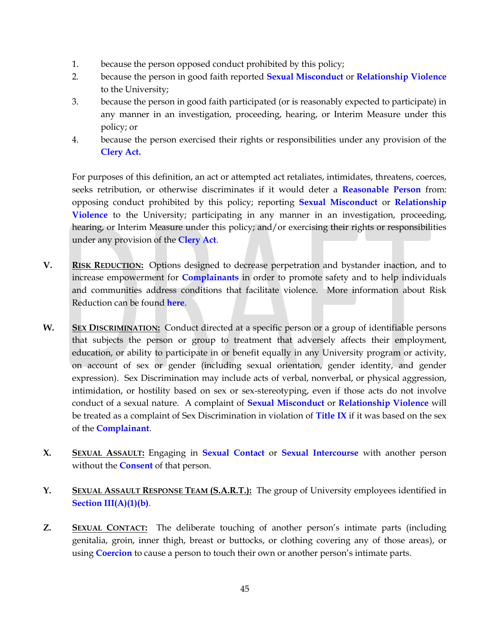- 1. because the person opposed conduct prohibited by this policy;
- 2. because the person in good faith reported **Sexual Misconduct** or **Relationship Violence** to the University;
- 3. because the person in good faith participated (or is reasonably expected to participate) in any manner in an investigation, proceeding, hearing, or Interim Measure under this policy; or
- 4. because the person exercised their rights or responsibilities under any provision of the **Clery Act.**

For purposes of this definition, an act or attempted act retaliates, intimidates, threatens, coerces, seeks retribution, or otherwise discriminates if it would deter a **Reasonable Person** from: opposing conduct prohibited by this policy; reporting **Sexual Misconduct** or **Relationship Violence** to the University; participating in any manner in an investigation, proceeding, hearing, or Interim Measure under this policy; and/or exercising their rights or responsibilities under any provision of the **Clery Act**.

- **V. RISK REDUCTION:** Options designed to decrease perpetration and bystander inaction, and to increase empowerment for **Complainants** in order to promote safety and to help individuals and communities address conditions that facilitate violence. More information about Risk Reduction can be found **here**.
- **W. SEX DISCRIMINATION:** Conduct directed at a specific person or a group of identifiable persons that subjects the person or group to treatment that adversely affects their employment, education, or ability to participate in or benefit equally in any University program or activity, on account of sex or gender (including sexual orientation, gender identity, and gender expression). Sex Discrimination may include acts of verbal, nonverbal, or physical aggression, intimidation, or hostility based on sex or sex-stereotyping, even if those acts do not involve conduct of a sexual nature. A complaint of **Sexual Misconduct** or **Relationship Violence** will be treated as a complaint of Sex Discrimination in violation of **Title IX** if it was based on the sex of the **Complainant**.
- **X. SEXUAL ASSAULT:** Engaging in **Sexual Contact** or **Sexual Intercourse** with another person without the **Consent** of that person.
- **Y. SEXUAL ASSAULT RESPONSE TEAM (S.A.R.T.):** The group of University employees identified in **Section III(A)(1)(b)**.
- **Z. SEXUAL CONTACT:** The deliberate touching of another person's intimate parts (including genitalia, groin, inner thigh, breast or buttocks, or clothing covering any of those areas), or using **Coercion** to cause a person to touch their own or another person's intimate parts.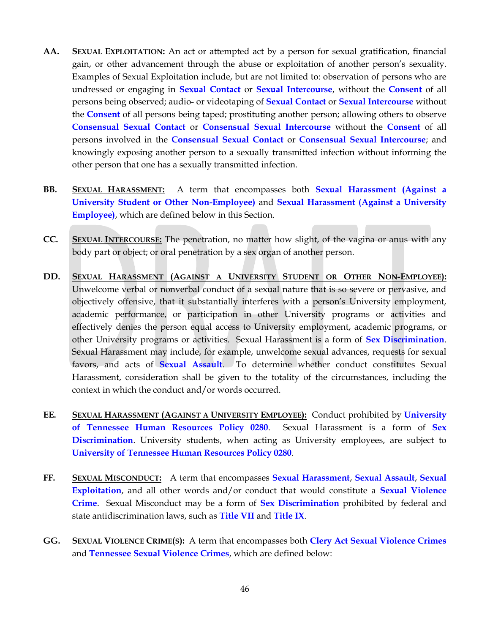- **AA. SEXUAL EXPLOITATION:** An act or attempted act by a person for sexual gratification, financial gain, or other advancement through the abuse or exploitation of another person's sexuality. Examples of Sexual Exploitation include, but are not limited to: observation of persons who are undressed or engaging in **Sexual Contact** or **Sexual Intercourse**, without the **Consent** of all persons being observed; audio- or videotaping of **Sexual Contact** or **Sexual Intercourse** without the **Consent** of all persons being taped; prostituting another person; allowing others to observe **Consensual Sexual Contact** or **Consensual Sexual Intercourse** without the **Consent** of all persons involved in the **Consensual Sexual Contact** or **Consensual Sexual Intercourse**; and knowingly exposing another person to a sexually transmitted infection without informing the other person that one has a sexually transmitted infection.
- **BB. SEXUAL HARASSMENT:** A term that encompasses both **Sexual Harassment (Against a University Student or Other Non-Employee)** and **Sexual Harassment (Against a University Employee)**, which are defined below in this Section.
- **CC. SEXUAL INTERCOURSE:** The penetration, no matter how slight, of the vagina or anus with any body part or object; or oral penetration by a sex organ of another person.
- **DD. SEXUAL HARASSMENT (AGAINST A UNIVERSITY STUDENT OR OTHER NON-EMPLOYEE):** Unwelcome verbal or nonverbal conduct of a sexual nature that is so severe or pervasive, and objectively offensive, that it substantially interferes with a person's University employment, academic performance, or participation in other University programs or activities and effectively denies the person equal access to University employment, academic programs, or other University programs or activities. Sexual Harassment is a form of **Sex Discrimination**. Sexual Harassment may include, for example, unwelcome sexual advances, requests for sexual favors, and acts of **Sexual Assault**. To determine whether conduct constitutes Sexual Harassment, consideration shall be given to the totality of the circumstances, including the context in which the conduct and/or words occurred.
- **EE. SEXUAL HARASSMENT (AGAINST A UNIVERSITY EMPLOYEE):** Conduct prohibited by **[University](http://policy.tennessee.edu/hr_policy/hr0280/)  [of Tennessee Human Resources Policy 0280](http://policy.tennessee.edu/hr_policy/hr0280/)**. Sexual Harassment is a form of **Sex Discrimination**. University students, when acting as University employees, are subject to **[University of Tennessee Human Resources Policy 0280](http://policy.tennessee.edu/hr_policy/hr0280/)**.
- **FF. SEXUAL MISCONDUCT:** A term that encompasses **Sexual Harassment**, **Sexual Assault**, **Sexual Exploitation**, and all other words and/or conduct that would constitute a **Sexual Violence Crime**. Sexual Misconduct may be a form of **Sex Discrimination** prohibited by federal and state antidiscrimination laws, such as **Title VII** and **Title IX**.
- **GG. SEXUAL VIOLENCE CRIME(S):** A term that encompasses both **Clery Act Sexual Violence Crimes** and **Tennessee Sexual Violence Crimes**, which are defined below: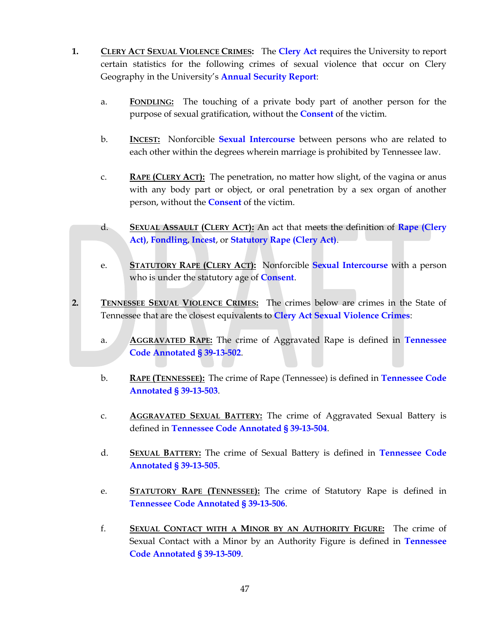- **1. CLERY ACT SEXUAL VIOLENCE CRIMES:** The **Clery Act** requires the University to report certain statistics for the following crimes of sexual violence that occur on Clery Geography in the University's **Annual Security Report**:
	- a. **FONDLING:** The touching of a private body part of another person for the purpose of sexual gratification, without the **Consent** of the victim.
	- b. **INCEST:** Nonforcible **Sexual Intercourse** between persons who are related to each other within the degrees wherein marriage is prohibited by Tennessee law.
	- c. **RAPE (CLERY ACT):** The penetration, no matter how slight, of the vagina or anus with any body part or object, or oral penetration by a sex organ of another person, without the **Consent** of the victim.
	- d. **SEXUAL ASSAULT (CLERY ACT):** An act that meets the definition of **Rape (Clery Act)**, **Fondling**, **Incest**, or **Statutory Rape (Clery Act)**.
	- e. **STATUTORY RAPE (CLERY ACT):** Nonforcible **Sexual Intercourse** with a person who is under the statutory age of **Consent**.
- **2. TENNESSEE SEXUAL VIOLENCE CRIMES:** The crimes below are crimes in the State of Tennessee that are the closest equivalents to **Clery Act Sexual Violence Crimes**:
	- a. **AGGRAVATED RAPE:** The crime of Aggravated Rape is defined in **Tennessee Code Annotated § 39-13-502**.
	- b. **RAPE (TENNESSEE):** The crime of Rape (Tennessee) is defined in **Tennessee Code Annotated § 39-13-503**.
	- c. **AGGRAVATED SEXUAL BATTERY:** The crime of Aggravated Sexual Battery is defined in **Tennessee Code Annotated § 39-13-504**.
	- d. **SEXUAL BATTERY:** The crime of Sexual Battery is defined in **Tennessee Code Annotated § 39-13-505**.
	- e. **STATUTORY RAPE (TENNESSEE):** The crime of Statutory Rape is defined in **Tennessee Code Annotated § 39-13-506**.
	- f. **SEXUAL CONTACT WITH A MINOR BY AN AUTHORITY FIGURE:** The crime of Sexual Contact with a Minor by an Authority Figure is defined in **Tennessee Code Annotated § 39-13-509**.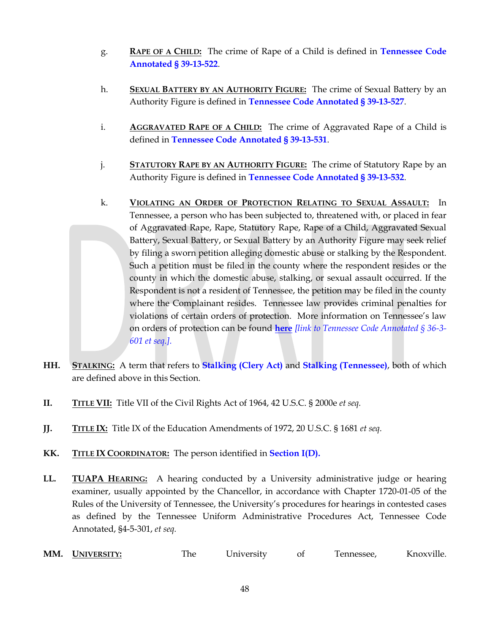- g. **RAPE OF A CHILD:** The crime of Rape of a Child is defined in **Tennessee Code Annotated § 39-13-522**.
- h. **SEXUAL BATTERY BY AN AUTHORITY FIGURE:** The crime of Sexual Battery by an Authority Figure is defined in **Tennessee Code Annotated § 39-13-527**.
- i. **AGGRAVATED RAPE OF A CHILD:** The crime of Aggravated Rape of a Child is defined in **Tennessee Code Annotated § 39-13-531**.
- j. **STATUTORY RAPE BY AN AUTHORITY FIGURE:** The crime of Statutory Rape by an Authority Figure is defined in **Tennessee Code Annotated § 39-13-532**.
- k. **VIOLATING AN ORDER OF PROTECTION RELATING TO SEXUAL ASSAULT:** In Tennessee, a person who has been subjected to, threatened with, or placed in fear of Aggravated Rape, Rape, Statutory Rape, Rape of a Child, Aggravated Sexual Battery, Sexual Battery, or Sexual Battery by an Authority Figure may seek relief by filing a sworn petition alleging domestic abuse or stalking by the Respondent. Such a petition must be filed in the county where the respondent resides or the county in which the domestic abuse, stalking, or sexual assault occurred. If the Respondent is not a resident of Tennessee, the petition may be filed in the county where the Complainant resides. Tennessee law provides criminal penalties for violations of certain orders of protection. More information on Tennessee's law on orders of protection can be found **here** *[link to Tennessee Code Annotated § 36-3- 601 et seq.].*
- **HH. STALKING:** A term that refers to **Stalking (Clery Act)** and **Stalking (Tennessee)**, both of which are defined above in this Section.
- **II. TITLE VII:** Title VII of the Civil Rights Act of 1964, 42 U.S.C. § 2000e *et seq.*
- **JJ. TITLE IX:** Title IX of the Education Amendments of 1972, 20 U.S.C. § 1681 *et seq.*
- **KK. TITLE IX COORDINATOR:** The person identified in **Section I(D).**
- **LL. TUAPA HEARING:** A hearing conducted by a University administrative judge or hearing examiner, usually appointed by the Chancellor, in accordance with Chapter 1720-01-05 of the Rules of the University of Tennessee, the University's procedures for hearings in contested cases as defined by the Tennessee Uniform Administrative Procedures Act, Tennessee Code Annotated, §4-5-301, *et seq.*
- **MM. UNIVERSITY:** The University of Tennessee, Knoxville.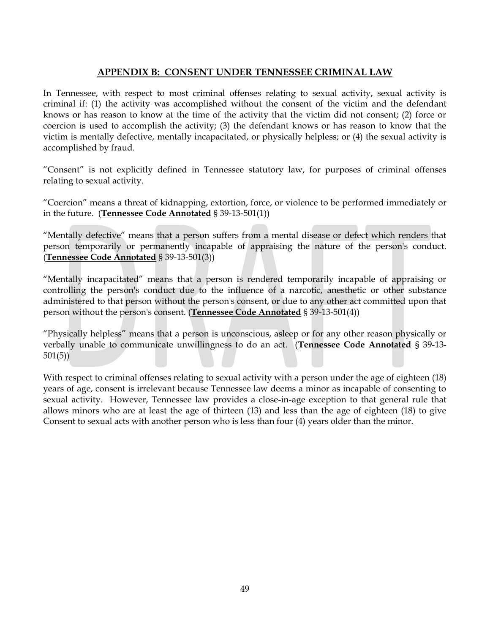## **APPENDIX B: CONSENT UNDER TENNESSEE CRIMINAL LAW**

In Tennessee, with respect to most criminal offenses relating to sexual activity, sexual activity is criminal if: (1) the activity was accomplished without the consent of the victim and the defendant knows or has reason to know at the time of the activity that the victim did not consent; (2) force or coercion is used to accomplish the activity; (3) the defendant knows or has reason to know that the victim is mentally defective, mentally incapacitated, or physically helpless; or (4) the sexual activity is accomplished by fraud.

"Consent" is not explicitly defined in Tennessee statutory law, for purposes of criminal offenses relating to sexual activity.

"Coercion" means a threat of kidnapping, extortion, force, or violence to be performed immediately or in the future. (**Tennessee Code Annotated** § 39-13-501(1))

"Mentally defective" means that a person suffers from a mental disease or defect which renders that person temporarily or permanently incapable of appraising the nature of the person's conduct. (**Tennessee Code Annotated** § 39-13-501(3))

"Mentally incapacitated" means that a person is rendered temporarily incapable of appraising or controlling the person's conduct due to the influence of a narcotic, anesthetic or other substance administered to that person without the person's consent, or due to any other act committed upon that person without the person's consent. (**Tennessee Code Annotated** § 39-13-501(4))

"Physically helpless" means that a person is unconscious, asleep or for any other reason physically or verbally unable to communicate unwillingness to do an act. (**Tennessee Code Annotated** § 39-13- 501(5))

With respect to criminal offenses relating to sexual activity with a person under the age of eighteen (18) years of age, consent is irrelevant because Tennessee law deems a minor as incapable of consenting to sexual activity. However, Tennessee law provides a close-in-age exception to that general rule that allows minors who are at least the age of thirteen (13) and less than the age of eighteen (18) to give Consent to sexual acts with another person who is less than four (4) years older than the minor.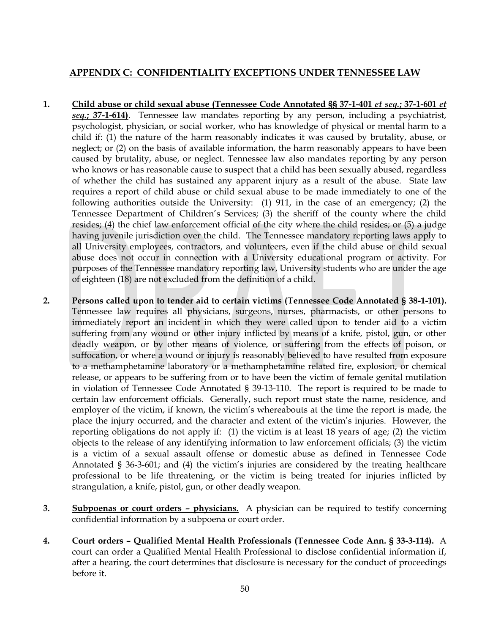## **APPENDIX C: CONFIDENTIALITY EXCEPTIONS UNDER TENNESSEE LAW**

- **1. Child abuse or child sexual abuse (Tennessee Code Annotated §§ 37-1-401** *et seq.***; 37-1-601** *et seq.***; 37-1-614)**. Tennessee law mandates reporting by any person, including a psychiatrist, psychologist, physician, or social worker, who has knowledge of physical or mental harm to a child if: (1) the nature of the harm reasonably indicates it was caused by brutality, abuse, or neglect; or (2) on the basis of available information, the harm reasonably appears to have been caused by brutality, abuse, or neglect. Tennessee law also mandates reporting by any person who knows or has reasonable cause to suspect that a child has been sexually abused, regardless of whether the child has sustained any apparent injury as a result of the abuse.State law requires a report of child abuse or child sexual abuse to be made immediately to one of the following authorities outside the University: (1) 911, in the case of an emergency; (2) the Tennessee Department of Children's Services; (3) the sheriff of the county where the child resides; (4) the chief law enforcement official of the city where the child resides; or (5) a judge having juvenile jurisdiction over the child. The Tennessee mandatory reporting laws apply to all University employees, contractors, and volunteers, even if the child abuse or child sexual abuse does not occur in connection with a University educational program or activity. For purposes of the Tennessee mandatory reporting law, University students who are under the age of eighteen (18) are not excluded from the definition of a child.
- **2. Persons called upon to tender aid to certain victims (Tennessee Code Annotated § 38-1-101).** Tennessee law requires all physicians, surgeons, nurses, pharmacists, or other persons to immediately report an incident in which they were called upon to tender aid to a victim suffering from any wound or other injury inflicted by means of a knife, pistol, gun, or other deadly weapon, or by other means of violence, or suffering from the effects of poison, or suffocation, or where a wound or injury is reasonably believed to have resulted from exposure to a methamphetamine laboratory or a methamphetamine related fire, explosion, or chemical release, or appears to be suffering from or to have been the victim of female genital mutilation in violation of Tennessee Code Annotated [§ 39-13-110.](https://a.next.westlaw.com/Link/Document/FullText?findType=L&pubNum=1000039&cite=TNSTS39-13-110&originatingDoc=N20B78391DBA511E18DACD7A1C03FBF4E&refType=LQ&originationContext=document&transitionType=DocumentItem&contextData=(sc.UserEnteredCitation)) The report is required to be made to certain law enforcement officials. Generally, such report must state the name, residence, and employer of the victim, if known, the victim's whereabouts at the time the report is made, the place the injury occurred, and the character and extent of the victim's injuries. However, the reporting obligations do not apply if: (1) the victim is at least 18 years of age; (2) the victim objects to the release of any identifying information to law enforcement officials; (3) the victim is a victim of a sexual assault offense or domestic abuse as defined in Tennessee Code Annotated § 36-3-601; and (4) the victim's injuries are considered by the treating healthcare professional to be life threatening, or the victim is being treated for injuries inflicted by strangulation, a knife, pistol, gun, or other deadly weapon.
- **3. Subpoenas or court orders – physicians.** A physician can be required to testify concerning confidential information by a subpoena or court order.
- **4. Court orders – Qualified Mental Health Professionals (Tennessee Code Ann. § 33-3-114).** A court can order a Qualified Mental Health Professional to disclose confidential information if, after a hearing, the court determines that disclosure is necessary for the conduct of proceedings before it.